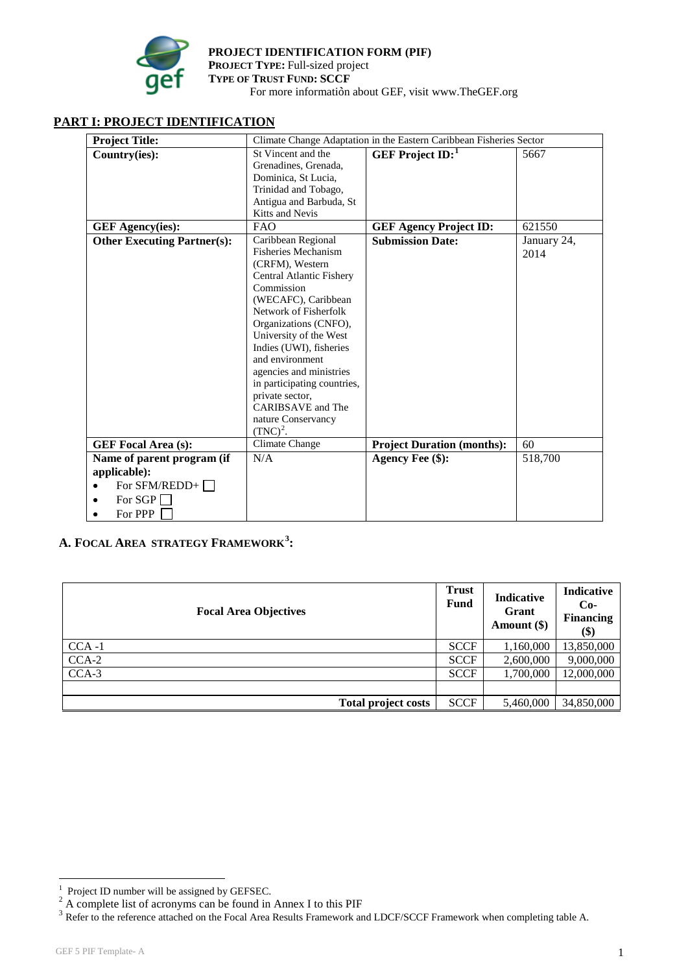

## **`** For more information about GEF, visit www.TheGEF.org**PROJECT IDENTIFICATION FORM (PIF) PROJECT TYPE:** Full-sized project **TYPE OF TRUST FUND: SCCF**

# **PART I: PROJECT IDENTIFICATION**

| <b>Project Title:</b>              | Climate Change Adaptation in the Eastern Caribbean Fisheries Sector |                                   |             |  |
|------------------------------------|---------------------------------------------------------------------|-----------------------------------|-------------|--|
| Country(ies):                      | St Vincent and the                                                  | GEF Project $ID:$ <sup>1</sup>    | 5667        |  |
|                                    | Grenadines, Grenada,                                                |                                   |             |  |
|                                    | Dominica, St Lucia,                                                 |                                   |             |  |
|                                    | Trinidad and Tobago,                                                |                                   |             |  |
|                                    | Antigua and Barbuda, St                                             |                                   |             |  |
|                                    | Kitts and Nevis                                                     |                                   |             |  |
| <b>GEF Agency(ies):</b>            | <b>FAO</b>                                                          | <b>GEF Agency Project ID:</b>     | 621550      |  |
| <b>Other Executing Partner(s):</b> | Caribbean Regional                                                  | <b>Submission Date:</b>           | January 24, |  |
|                                    | <b>Fisheries Mechanism</b>                                          |                                   | 2014        |  |
|                                    | (CRFM), Western                                                     |                                   |             |  |
|                                    | Central Atlantic Fishery                                            |                                   |             |  |
|                                    | Commission                                                          |                                   |             |  |
|                                    | (WECAFC), Caribbean                                                 |                                   |             |  |
|                                    | Network of Fisherfolk                                               |                                   |             |  |
|                                    | Organizations (CNFO),                                               |                                   |             |  |
|                                    | University of the West                                              |                                   |             |  |
|                                    | Indies (UWI), fisheries                                             |                                   |             |  |
|                                    | and environment                                                     |                                   |             |  |
|                                    | agencies and ministries                                             |                                   |             |  |
|                                    | in participating countries,                                         |                                   |             |  |
|                                    | private sector,                                                     |                                   |             |  |
|                                    | CARIBSAVE and The                                                   |                                   |             |  |
|                                    | nature Conservancy                                                  |                                   |             |  |
|                                    | $(TNC)^2$ .                                                         |                                   |             |  |
| <b>GEF Focal Area (s):</b>         | Climate Change                                                      | <b>Project Duration (months):</b> | 60          |  |
| Name of parent program (if         | N/A                                                                 | Agency Fee (\$):                  | 518,700     |  |
| applicable):                       |                                                                     |                                   |             |  |
| For SFM/REDD+ $\Box$               |                                                                     |                                   |             |  |
| For SGP                            |                                                                     |                                   |             |  |
| For PPP                            |                                                                     |                                   |             |  |

# **A. FOCAL AREA STRATEGY FRAMEWORK[3](#page-0-2) :**

| <b>Focal Area Objectives</b> | <b>Trust</b><br>Fund | <b>Indicative</b><br>Grant<br>Amount $(\$)$ | <b>Indicative</b><br>$Co-$<br><b>Financing</b><br>\$) |
|------------------------------|----------------------|---------------------------------------------|-------------------------------------------------------|
| $CCA -1$                     | <b>SCCF</b>          | 1,160,000                                   | 13,850,000                                            |
| $CCA-2$                      | <b>SCCF</b>          | 2,600,000                                   | 9,000,000                                             |
| $CCA-3$                      | <b>SCCF</b>          | 1,700,000                                   | 12,000,000                                            |
|                              |                      |                                             |                                                       |
| <b>Total project costs</b>   | <b>SCCF</b>          | 5,460,000                                   | 34,850,000                                            |

 $\frac{1}{1}$ 

<span id="page-0-0"></span><sup>&</sup>lt;sup>1</sup> Project ID number will be assigned by GEFSEC.  $\frac{2}{3}$  A complete list of acronyms can be found in Annex I to this PIF

<span id="page-0-2"></span><span id="page-0-1"></span><sup>&</sup>lt;sup>3</sup> Refer to the reference attached on the Focal Area Results Framework and LDCF/SCCF Framework when completing table A.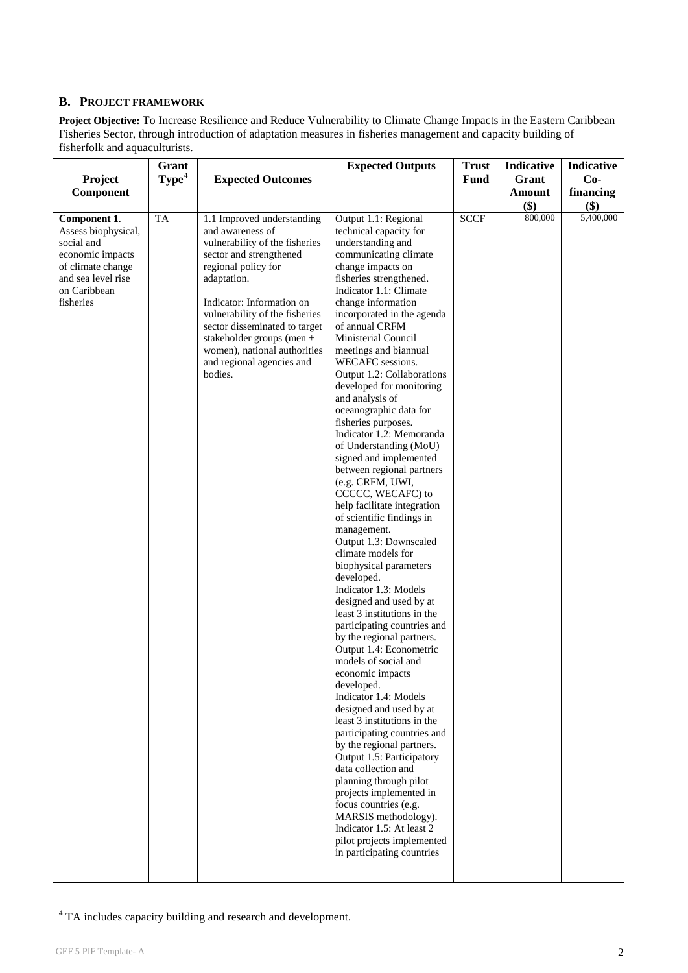## **B. PROJECT FRAMEWORK**

**Project Objective:** To Increase Resilience and Reduce Vulnerability to Climate Change Impacts in the Eastern Caribbean Fisheries Sector, through introduction of adaptation measures in fisheries management and capacity building of fisherfolk and aquaculturists.

|                                                                                                                                               | Grant             |                                                                                                                                                                                                                                                                                                                                                        | <b>Expected Outputs</b>                                                                                                                                                                                                                                                                                                                                                                                                                                                                                                                                                                                                                                                                                                                                                                                                                                                                                                                                                                                                                                                                                                                                                                                                                                                                                                                                                                                       | <b>Trust</b> | <b>Indicative</b>             | Indicative                |
|-----------------------------------------------------------------------------------------------------------------------------------------------|-------------------|--------------------------------------------------------------------------------------------------------------------------------------------------------------------------------------------------------------------------------------------------------------------------------------------------------------------------------------------------------|---------------------------------------------------------------------------------------------------------------------------------------------------------------------------------------------------------------------------------------------------------------------------------------------------------------------------------------------------------------------------------------------------------------------------------------------------------------------------------------------------------------------------------------------------------------------------------------------------------------------------------------------------------------------------------------------------------------------------------------------------------------------------------------------------------------------------------------------------------------------------------------------------------------------------------------------------------------------------------------------------------------------------------------------------------------------------------------------------------------------------------------------------------------------------------------------------------------------------------------------------------------------------------------------------------------------------------------------------------------------------------------------------------------|--------------|-------------------------------|---------------------------|
| Project<br>Component                                                                                                                          | Type <sup>4</sup> | <b>Expected Outcomes</b>                                                                                                                                                                                                                                                                                                                               |                                                                                                                                                                                                                                                                                                                                                                                                                                                                                                                                                                                                                                                                                                                                                                                                                                                                                                                                                                                                                                                                                                                                                                                                                                                                                                                                                                                                               | <b>Fund</b>  | Grant<br><b>Amount</b><br>\$) | $Co-$<br>financing<br>\$) |
| Component 1.<br>Assess biophysical,<br>social and<br>economic impacts<br>of climate change<br>and sea level rise<br>on Caribbean<br>fisheries | <b>TA</b>         | 1.1 Improved understanding<br>and awareness of<br>vulnerability of the fisheries<br>sector and strengthened<br>regional policy for<br>adaptation.<br>Indicator: Information on<br>vulnerability of the fisheries<br>sector disseminated to target<br>stakeholder groups (men +<br>women), national authorities<br>and regional agencies and<br>bodies. | Output 1.1: Regional<br>technical capacity for<br>understanding and<br>communicating climate<br>change impacts on<br>fisheries strengthened.<br>Indicator 1.1: Climate<br>change information<br>incorporated in the agenda<br>of annual CRFM<br>Ministerial Council<br>meetings and biannual<br>WECAFC sessions.<br>Output 1.2: Collaborations<br>developed for monitoring<br>and analysis of<br>oceanographic data for<br>fisheries purposes.<br>Indicator 1.2: Memoranda<br>of Understanding (MoU)<br>signed and implemented<br>between regional partners<br>(e.g. CRFM, UWI,<br>CCCCC, WECAFC) to<br>help facilitate integration<br>of scientific findings in<br>management.<br>Output 1.3: Downscaled<br>climate models for<br>biophysical parameters<br>developed.<br>Indicator 1.3: Models<br>designed and used by at<br>least 3 institutions in the<br>participating countries and<br>by the regional partners.<br>Output 1.4: Econometric<br>models of social and<br>economic impacts<br>developed.<br>Indicator 1.4: Models<br>designed and used by at<br>least 3 institutions in the<br>participating countries and<br>by the regional partners.<br>Output 1.5: Participatory<br>data collection and<br>planning through pilot<br>projects implemented in<br>focus countries (e.g.<br>MARSIS methodology).<br>Indicator 1.5: At least 2<br>pilot projects implemented<br>in participating countries | <b>SCCF</b>  | 800,000                       | 5,400,000                 |

<span id="page-1-0"></span>4 TA includes capacity building and research and development.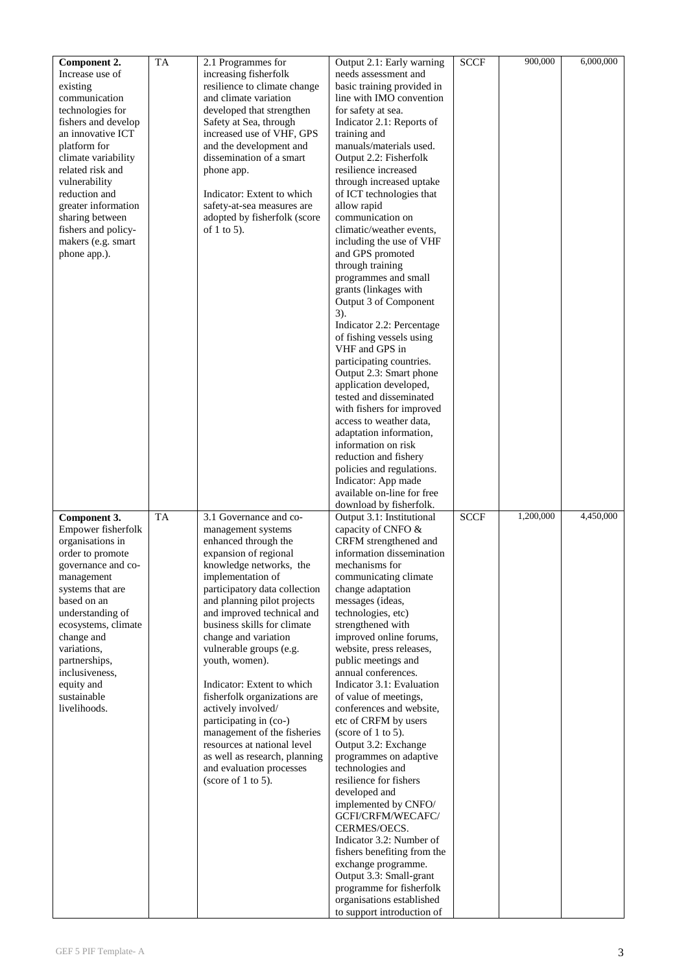| Component 2.                              | <b>TA</b> | 2.1 Programmes for                                    | Output 2.1: Early warning                            | <b>SCCF</b> | 900,000   | 6,000,000 |
|-------------------------------------------|-----------|-------------------------------------------------------|------------------------------------------------------|-------------|-----------|-----------|
| Increase use of                           |           | increasing fisherfolk                                 | needs assessment and                                 |             |           |           |
| existing                                  |           | resilience to climate change                          | basic training provided in                           |             |           |           |
| communication                             |           | and climate variation                                 | line with IMO convention                             |             |           |           |
| technologies for                          |           | developed that strengthen                             | for safety at sea.                                   |             |           |           |
| fishers and develop<br>an innovative ICT  |           | Safety at Sea, through                                | Indicator 2.1: Reports of                            |             |           |           |
| platform for                              |           | increased use of VHF, GPS<br>and the development and  | training and<br>manuals/materials used.              |             |           |           |
| climate variability                       |           | dissemination of a smart                              | Output 2.2: Fisherfolk                               |             |           |           |
| related risk and                          |           | phone app.                                            | resilience increased                                 |             |           |           |
| vulnerability                             |           |                                                       | through increased uptake                             |             |           |           |
| reduction and                             |           | Indicator: Extent to which                            | of ICT technologies that                             |             |           |           |
| greater information                       |           | safety-at-sea measures are                            | allow rapid                                          |             |           |           |
| sharing between                           |           | adopted by fisherfolk (score                          | communication on                                     |             |           |           |
| fishers and policy-<br>makers (e.g. smart |           | of 1 to 5).                                           | climatic/weather events,<br>including the use of VHF |             |           |           |
| phone app.).                              |           |                                                       | and GPS promoted                                     |             |           |           |
|                                           |           |                                                       | through training                                     |             |           |           |
|                                           |           |                                                       | programmes and small                                 |             |           |           |
|                                           |           |                                                       | grants (linkages with                                |             |           |           |
|                                           |           |                                                       | Output 3 of Component                                |             |           |           |
|                                           |           |                                                       | $3)$ .                                               |             |           |           |
|                                           |           |                                                       | Indicator 2.2: Percentage                            |             |           |           |
|                                           |           |                                                       | of fishing vessels using<br>VHF and GPS in           |             |           |           |
|                                           |           |                                                       | participating countries.                             |             |           |           |
|                                           |           |                                                       | Output 2.3: Smart phone                              |             |           |           |
|                                           |           |                                                       | application developed,                               |             |           |           |
|                                           |           |                                                       | tested and disseminated                              |             |           |           |
|                                           |           |                                                       | with fishers for improved                            |             |           |           |
|                                           |           |                                                       | access to weather data,                              |             |           |           |
|                                           |           |                                                       | adaptation information,<br>information on risk       |             |           |           |
|                                           |           |                                                       | reduction and fishery                                |             |           |           |
|                                           |           |                                                       | policies and regulations.                            |             |           |           |
|                                           |           |                                                       | Indicator: App made                                  |             |           |           |
|                                           |           |                                                       | available on-line for free                           |             |           |           |
|                                           |           |                                                       | download by fisherfolk.                              |             |           |           |
| Component 3.                              | <b>TA</b> | 3.1 Governance and co-                                | Output 3.1: Institutional                            | <b>SCCF</b> | 1,200,000 | 4,450,000 |
| Empower fisherfolk<br>organisations in    |           | management systems<br>enhanced through the            | capacity of CNFO &<br>CRFM strengthened and          |             |           |           |
| order to promote                          |           | expansion of regional                                 | information dissemination                            |             |           |           |
| governance and co-                        |           | knowledge networks, the                               | mechanisms for                                       |             |           |           |
| management                                |           | implementation of                                     | communicating climate                                |             |           |           |
| systems that are                          |           | participatory data collection                         | change adaptation                                    |             |           |           |
| based on an                               |           | and planning pilot projects                           | messages (ideas,                                     |             |           |           |
| understanding of                          |           | and improved technical and                            | technologies, etc)                                   |             |           |           |
| ecosystems, climate<br>change and         |           | business skills for climate<br>change and variation   | strengthened with<br>improved online forums,         |             |           |           |
| variations,                               |           | vulnerable groups (e.g.                               | website, press releases,                             |             |           |           |
| partnerships,                             |           | youth, women).                                        | public meetings and                                  |             |           |           |
| inclusiveness,                            |           |                                                       | annual conferences.                                  |             |           |           |
| equity and                                |           | Indicator: Extent to which                            | Indicator 3.1: Evaluation                            |             |           |           |
| sustainable                               |           | fisherfolk organizations are                          | of value of meetings,                                |             |           |           |
| livelihoods.                              |           | actively involved/                                    | conferences and website,                             |             |           |           |
|                                           |           | participating in (co-)<br>management of the fisheries | etc of CRFM by users<br>(score of 1 to 5).           |             |           |           |
|                                           |           | resources at national level                           | Output 3.2: Exchange                                 |             |           |           |
|                                           |           | as well as research, planning                         | programmes on adaptive                               |             |           |           |
|                                           |           | and evaluation processes                              | technologies and                                     |             |           |           |
|                                           |           | (score of 1 to 5).                                    | resilience for fishers                               |             |           |           |
|                                           |           |                                                       | developed and                                        |             |           |           |
|                                           |           |                                                       | implemented by CNFO/                                 |             |           |           |
|                                           |           |                                                       | GCFI/CRFM/WECAFC/<br>CERMES/OECS.                    |             |           |           |
|                                           |           |                                                       | Indicator 3.2: Number of                             |             |           |           |
|                                           |           |                                                       | fishers benefiting from the                          |             |           |           |
|                                           |           |                                                       | exchange programme.                                  |             |           |           |
|                                           |           |                                                       | Output 3.3: Small-grant                              |             |           |           |
|                                           |           |                                                       | programme for fisherfolk                             |             |           |           |
|                                           |           |                                                       | organisations established                            |             |           |           |
|                                           |           |                                                       | to support introduction of                           |             |           |           |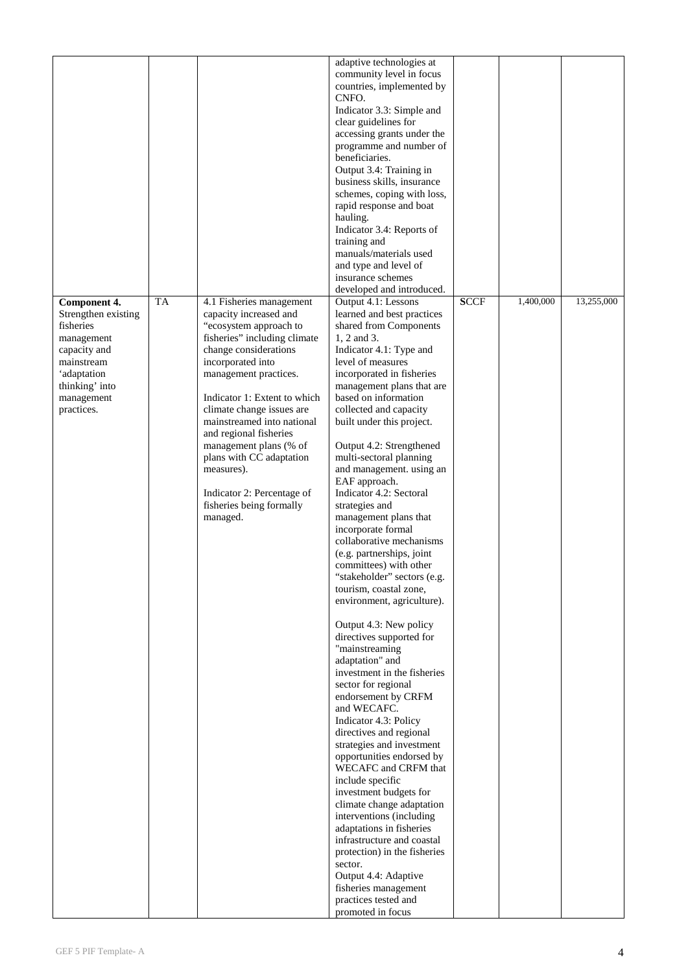|                                  |           |                                                        | adaptive technologies at                                   |             |           |            |
|----------------------------------|-----------|--------------------------------------------------------|------------------------------------------------------------|-------------|-----------|------------|
|                                  |           |                                                        | community level in focus                                   |             |           |            |
|                                  |           |                                                        | countries, implemented by                                  |             |           |            |
|                                  |           |                                                        | CNFO.                                                      |             |           |            |
|                                  |           |                                                        | Indicator 3.3: Simple and<br>clear guidelines for          |             |           |            |
|                                  |           |                                                        | accessing grants under the                                 |             |           |            |
|                                  |           |                                                        | programme and number of                                    |             |           |            |
|                                  |           |                                                        | beneficiaries.                                             |             |           |            |
|                                  |           |                                                        | Output 3.4: Training in                                    |             |           |            |
|                                  |           |                                                        | business skills, insurance                                 |             |           |            |
|                                  |           |                                                        | schemes, coping with loss,                                 |             |           |            |
|                                  |           |                                                        | rapid response and boat                                    |             |           |            |
|                                  |           |                                                        | hauling.<br>Indicator 3.4: Reports of                      |             |           |            |
|                                  |           |                                                        | training and                                               |             |           |            |
|                                  |           |                                                        | manuals/materials used                                     |             |           |            |
|                                  |           |                                                        | and type and level of                                      |             |           |            |
|                                  |           |                                                        | insurance schemes                                          |             |           |            |
|                                  |           |                                                        | developed and introduced.                                  |             |           |            |
| Component 4.                     | <b>TA</b> | 4.1 Fisheries management                               | Output 4.1: Lessons                                        | <b>SCCF</b> | 1,400,000 | 13,255,000 |
| Strengthen existing<br>fisheries |           | capacity increased and                                 | learned and best practices<br>shared from Components       |             |           |            |
| management                       |           | "ecosystem approach to<br>fisheries" including climate | 1, 2 and 3.                                                |             |           |            |
| capacity and                     |           | change considerations                                  | Indicator 4.1: Type and                                    |             |           |            |
| mainstream                       |           | incorporated into                                      | level of measures                                          |             |           |            |
| 'adaptation                      |           | management practices.                                  | incorporated in fisheries                                  |             |           |            |
| thinking' into                   |           |                                                        | management plans that are                                  |             |           |            |
| management                       |           | Indicator 1: Extent to which                           | based on information                                       |             |           |            |
| practices.                       |           | climate change issues are                              | collected and capacity                                     |             |           |            |
|                                  |           | mainstreamed into national<br>and regional fisheries   | built under this project.                                  |             |           |            |
|                                  |           | management plans (% of                                 | Output 4.2: Strengthened                                   |             |           |            |
|                                  |           | plans with CC adaptation                               | multi-sectoral planning                                    |             |           |            |
|                                  |           | measures).                                             | and management. using an                                   |             |           |            |
|                                  |           |                                                        | EAF approach.                                              |             |           |            |
|                                  |           | Indicator 2: Percentage of                             | Indicator 4.2: Sectoral                                    |             |           |            |
|                                  |           | fisheries being formally                               | strategies and                                             |             |           |            |
|                                  |           | managed.                                               | management plans that                                      |             |           |            |
|                                  |           |                                                        | incorporate formal<br>collaborative mechanisms             |             |           |            |
|                                  |           |                                                        | (e.g. partnerships, joint                                  |             |           |            |
|                                  |           |                                                        | committees) with other                                     |             |           |            |
|                                  |           |                                                        | "stakeholder" sectors (e.g.                                |             |           |            |
|                                  |           |                                                        | tourism, coastal zone,                                     |             |           |            |
|                                  |           |                                                        | environment, agriculture).                                 |             |           |            |
|                                  |           |                                                        |                                                            |             |           |            |
|                                  |           |                                                        | Output 4.3: New policy                                     |             |           |            |
|                                  |           |                                                        | directives supported for<br>"mainstreaming                 |             |           |            |
|                                  |           |                                                        | adaptation" and                                            |             |           |            |
|                                  |           |                                                        | investment in the fisheries                                |             |           |            |
|                                  |           |                                                        | sector for regional                                        |             |           |            |
|                                  |           |                                                        | endorsement by CRFM                                        |             |           |            |
|                                  |           |                                                        | and WECAFC.                                                |             |           |            |
|                                  |           |                                                        | Indicator 4.3: Policy                                      |             |           |            |
|                                  |           |                                                        | directives and regional                                    |             |           |            |
|                                  |           |                                                        | strategies and investment<br>opportunities endorsed by     |             |           |            |
|                                  |           |                                                        | WECAFC and CRFM that                                       |             |           |            |
|                                  |           |                                                        | include specific                                           |             |           |            |
|                                  |           |                                                        | investment budgets for                                     |             |           |            |
|                                  |           |                                                        | climate change adaptation                                  |             |           |            |
|                                  |           |                                                        | interventions (including                                   |             |           |            |
|                                  |           |                                                        | adaptations in fisheries                                   |             |           |            |
|                                  |           |                                                        | infrastructure and coastal<br>protection) in the fisheries |             |           |            |
|                                  |           |                                                        | sector.                                                    |             |           |            |
|                                  |           |                                                        | Output 4.4: Adaptive                                       |             |           |            |
|                                  |           |                                                        | fisheries management                                       |             |           |            |
|                                  |           |                                                        | practices tested and                                       |             |           |            |
|                                  |           |                                                        | promoted in focus                                          |             |           |            |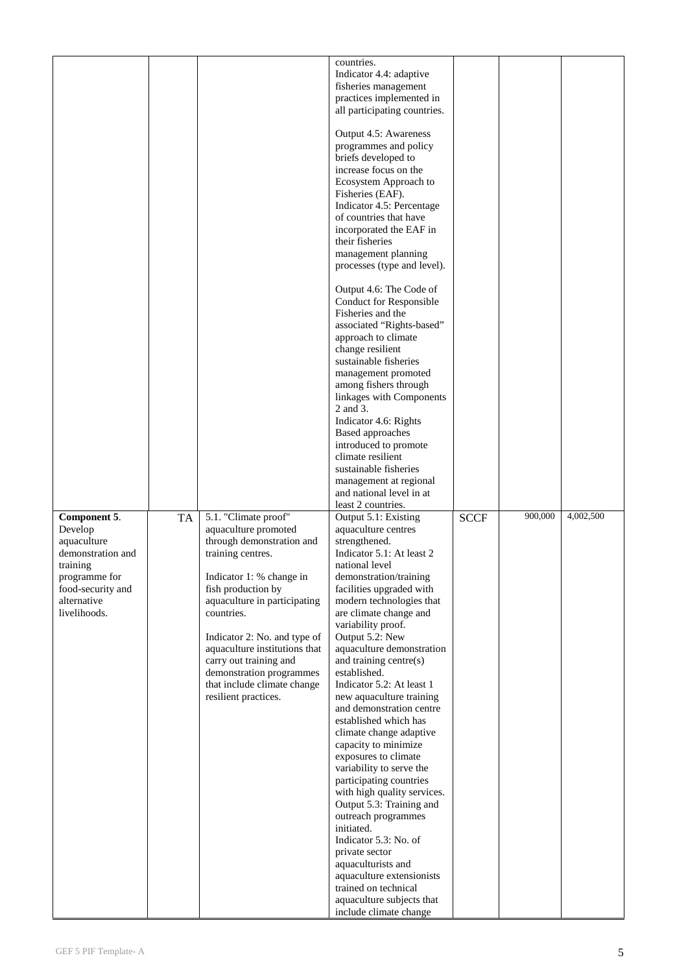|                                    |    |                                                               | countries.<br>Indicator 4.4: adaptive                     |             |         |           |
|------------------------------------|----|---------------------------------------------------------------|-----------------------------------------------------------|-------------|---------|-----------|
|                                    |    |                                                               | fisheries management<br>practices implemented in          |             |         |           |
|                                    |    |                                                               | all participating countries.                              |             |         |           |
|                                    |    |                                                               | Output 4.5: Awareness<br>programmes and policy            |             |         |           |
|                                    |    |                                                               | briefs developed to                                       |             |         |           |
|                                    |    |                                                               | increase focus on the<br>Ecosystem Approach to            |             |         |           |
|                                    |    |                                                               | Fisheries (EAF).<br>Indicator 4.5: Percentage             |             |         |           |
|                                    |    |                                                               | of countries that have                                    |             |         |           |
|                                    |    |                                                               | incorporated the EAF in<br>their fisheries                |             |         |           |
|                                    |    |                                                               | management planning<br>processes (type and level).        |             |         |           |
|                                    |    |                                                               |                                                           |             |         |           |
|                                    |    |                                                               | Output 4.6: The Code of<br><b>Conduct for Responsible</b> |             |         |           |
|                                    |    |                                                               | Fisheries and the<br>associated "Rights-based"            |             |         |           |
|                                    |    |                                                               | approach to climate                                       |             |         |           |
|                                    |    |                                                               | change resilient<br>sustainable fisheries                 |             |         |           |
|                                    |    |                                                               | management promoted<br>among fishers through              |             |         |           |
|                                    |    |                                                               | linkages with Components<br>2 and 3.                      |             |         |           |
|                                    |    |                                                               | Indicator 4.6: Rights                                     |             |         |           |
|                                    |    |                                                               | <b>Based approaches</b><br>introduced to promote          |             |         |           |
|                                    |    |                                                               | climate resilient<br>sustainable fisheries                |             |         |           |
|                                    |    |                                                               | management at regional                                    |             |         |           |
|                                    |    |                                                               | and national level in at<br>least 2 countries.            |             |         |           |
| Component 5.<br>Develop            | TA | 5.1. "Climate proof"<br>aquaculture promoted                  | Output 5.1: Existing<br>aquaculture centres               | <b>SCCF</b> | 900,000 | 4,002,500 |
| aquaculture<br>demonstration and   |    | through demonstration and<br>training centres.                | strengthened.<br>Indicator 5.1: At least 2                |             |         |           |
| training                           |    |                                                               | national level                                            |             |         |           |
| programme for<br>food-security and |    | Indicator 1: % change in<br>fish production by                | demonstration/training<br>facilities upgraded with        |             |         |           |
| alternative<br>livelihoods.        |    | aquaculture in participating<br>countries.                    | modern technologies that<br>are climate change and        |             |         |           |
|                                    |    |                                                               | variability proof.                                        |             |         |           |
|                                    |    | Indicator 2: No. and type of<br>aquaculture institutions that | Output 5.2: New<br>aquaculture demonstration              |             |         |           |
|                                    |    | carry out training and<br>demonstration programmes            | and training centre(s)<br>established.                    |             |         |           |
|                                    |    | that include climate change                                   | Indicator 5.2: At least 1                                 |             |         |           |
|                                    |    | resilient practices.                                          | new aquaculture training<br>and demonstration centre      |             |         |           |
|                                    |    |                                                               | established which has<br>climate change adaptive          |             |         |           |
|                                    |    |                                                               | capacity to minimize<br>exposures to climate              |             |         |           |
|                                    |    |                                                               | variability to serve the                                  |             |         |           |
|                                    |    |                                                               | participating countries<br>with high quality services.    |             |         |           |
|                                    |    |                                                               | Output 5.3: Training and<br>outreach programmes           |             |         |           |
|                                    |    |                                                               | initiated.<br>Indicator 5.3: No. of                       |             |         |           |
|                                    |    |                                                               | private sector                                            |             |         |           |
|                                    |    |                                                               | aquaculturists and<br>aquaculture extensionists           |             |         |           |
|                                    |    |                                                               | trained on technical<br>aquaculture subjects that         |             |         |           |
|                                    |    |                                                               | include climate change                                    |             |         |           |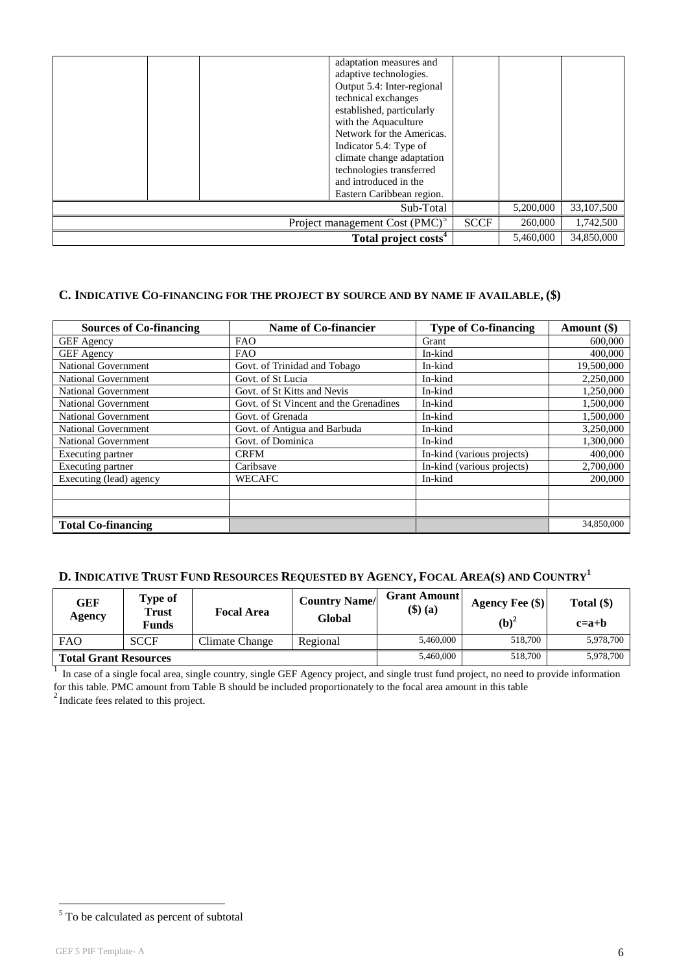|                                                                                   | adaptation measures and<br>adaptive technologies.<br>Output 5.4: Inter-regional<br>technical exchanges<br>established, particularly<br>with the Aquaculture<br>Network for the Americas.<br>Indicator 5.4: Type of<br>climate change adaptation<br>technologies transferred<br>and introduced in the<br>Eastern Caribbean region. |           |            |  |
|-----------------------------------------------------------------------------------|-----------------------------------------------------------------------------------------------------------------------------------------------------------------------------------------------------------------------------------------------------------------------------------------------------------------------------------|-----------|------------|--|
|                                                                                   |                                                                                                                                                                                                                                                                                                                                   | 5,200,000 | 33,107,500 |  |
| 1,742,500<br><b>SCCF</b><br>Project management Cost (PMC) <sup>5</sup><br>260,000 |                                                                                                                                                                                                                                                                                                                                   |           |            |  |
| 34,850,000<br>Total project costs <sup>4</sup><br>5,460,000                       |                                                                                                                                                                                                                                                                                                                                   |           |            |  |

# **C. INDICATIV[E CO-FINANCING](http://gefweb.org/Documents/Council_Documents/GEF_C21/C.20.6.Rev.1.pdf) FOR THE PROJECT BY SOURCE AND BY NAME IF AVAILABLE, (\$)**

| <b>Sources of Co-financing</b> | <b>Name of Co-financier</b>            | <b>Type of Co-financing</b> | Amount (\$) |
|--------------------------------|----------------------------------------|-----------------------------|-------------|
| <b>GEF Agency</b>              | <b>FAO</b>                             | Grant                       | 600,000     |
| <b>GEF</b> Agency              | <b>FAO</b>                             | In-kind                     | 400,000     |
| National Government            | Govt. of Trinidad and Tobago           | In-kind                     | 19,500,000  |
| National Government            | Govt. of St Lucia                      | In-kind                     | 2,250,000   |
| <b>National Government</b>     | Govt. of St Kitts and Nevis            | In-kind                     | 1,250,000   |
| <b>National Government</b>     | Govt. of St Vincent and the Grenadines | In-kind                     | 1,500,000   |
| <b>National Government</b>     | Govt. of Grenada                       | In-kind                     | 1,500,000   |
| <b>National Government</b>     | Govt. of Antigua and Barbuda           | In-kind                     | 3,250,000   |
| <b>National Government</b>     | Govt. of Dominica                      | In-kind                     | 1,300,000   |
| Executing partner              | <b>CRFM</b>                            | In-kind (various projects)  | 400,000     |
| Executing partner              | Caribsave                              | In-kind (various projects)  | 2,700,000   |
| Executing (lead) agency        | <b>WECAFC</b>                          | In-kind                     | 200,000     |
|                                |                                        |                             |             |
|                                |                                        |                             |             |
| <b>Total Co-financing</b>      |                                        |                             | 34,850,000  |

# **D. INDICATIVE TRUST FUND RESOURCES REQUESTED BY AGENCY, FOCAL AREA(S) AND COUNTRY1**

| <b>GEF</b><br>Agency         | Type of<br><b>Trust</b><br><b>Funds</b> | <b>Focal Area</b> | <b>Country Name/</b><br>Global | <b>Grant Amount</b><br>$(\$)$ (a) | Agency Fee (\$)<br>$(b)2$ | Total $(\$)$<br>$c=a+b$ |
|------------------------------|-----------------------------------------|-------------------|--------------------------------|-----------------------------------|---------------------------|-------------------------|
| <b>FAO</b>                   | <b>SCCF</b>                             | Climate Change    | Regional                       | 5.460,000                         | 518,700                   | 5,978,700               |
| <b>Total Grant Resources</b> |                                         |                   | 5.460,000                      | 518,700                           | 5,978,700                 |                         |

<sup>1</sup> In case of a single focal area, single country, single GEF Agency project, and single trust fund project, no need to provide information for this table. PMC amount from Table B should be included proportionately to the focal area amount in this table  $^2$  Indicate fees related to this project.

<span id="page-5-0"></span> <sup>5</sup> To be calculated as percent of subtotal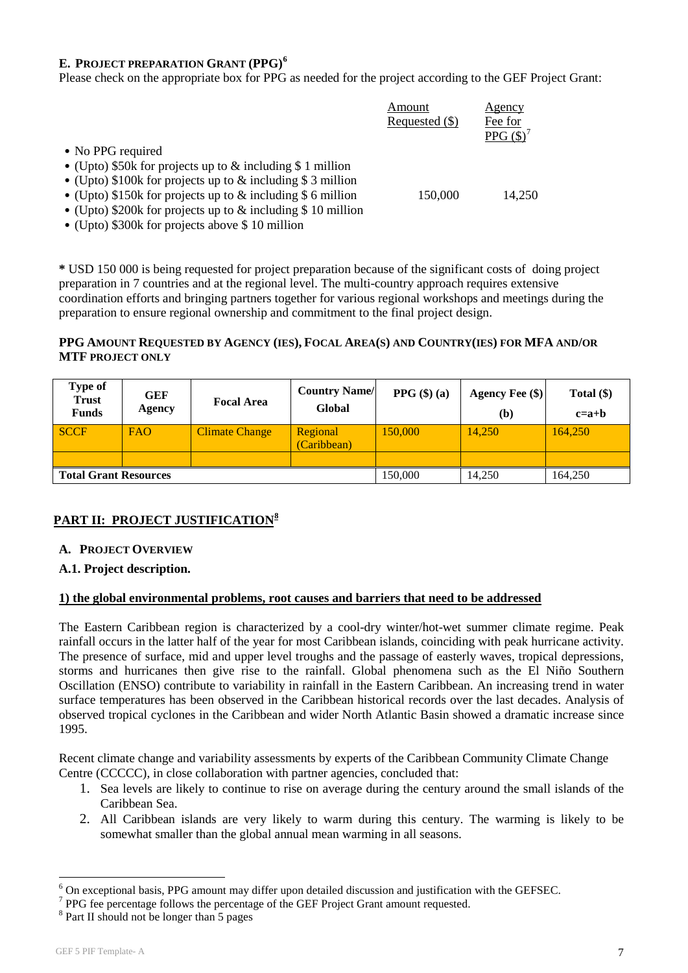# **E. PROJECT PREPARATION GRANT (PPG)[6](#page-6-0)**

Please check on the appropriate box for PPG as needed for the project according to the GEF Project Grant:

|                                                               | Amount           | Agency      |
|---------------------------------------------------------------|------------------|-------------|
|                                                               | Requested $(\$)$ | Fee for     |
|                                                               |                  | PPG $($ \$) |
| • No PPG required                                             |                  |             |
| • (Upto) \$50k for projects up to $&$ including \$1 million   |                  |             |
| • (Upto) \$100k for projects up to $&$ including \$3 million  |                  |             |
| • (Upto) \$150k for projects up to $&$ including \$6 million  | 150,000          | 14,250      |
| • (Upto) \$200k for projects up to $&$ including \$10 million |                  |             |
| منتصبات مالك المستحدث والمتحدث والمتحدث                       |                  |             |

• (Upto) \$300k for projects above \$10 million

**\*** USD 150 000 is being requested for project preparation because of the significant costs of doing project preparation in 7 countries and at the regional level. The multi-country approach requires extensive coordination efforts and bringing partners together for various regional workshops and meetings during the preparation to ensure regional ownership and commitment to the final project design.

# **PPG AMOUNT REQUESTED BY AGENCY (IES), FOCAL AREA(S) AND COUNTRY(IES) FOR MFA AND/OR MTF PROJECT ONLY**

| <b>Type of</b><br><b>Trust</b><br><b>Funds</b> | <b>GEF</b><br>Agency | <b>Focal Area</b>     | <b>Country Name/</b><br>Global | PPG $(\$)$ (a) | Agency Fee (\$)<br>(b) | Total $(\$)$<br>$c=a+b$ |
|------------------------------------------------|----------------------|-----------------------|--------------------------------|----------------|------------------------|-------------------------|
| <b>SCCF</b>                                    | FAO                  | <b>Climate Change</b> | Regional<br>(Caribbean)        | 150,000        | 14.250                 | 164,250                 |
|                                                |                      |                       |                                |                |                        |                         |
| <b>Total Grant Resources</b>                   |                      |                       | 150,000                        | 14,250         | 164,250                |                         |

# **PART II: PROJECT JUSTIFICATION[8](#page-6-2)**

# **A. PROJECT OVERVIEW**

# **A.1. Project description.**

# **1) the global environmental problems, root causes and barriers that need to be addressed**

The Eastern Caribbean region is characterized by a cool-dry winter/hot-wet summer climate regime. Peak rainfall occurs in the latter half of the year for most Caribbean islands, coinciding with peak hurricane activity. The presence of surface, mid and upper level troughs and the passage of easterly waves, tropical depressions, storms and hurricanes then give rise to the rainfall. Global phenomena such as the El Niño Southern Oscillation (ENSO) contribute to variability in rainfall in the Eastern Caribbean. An increasing trend in water surface temperatures has been observed in the Caribbean historical records over the last decades. Analysis of observed tropical cyclones in the Caribbean and wider North Atlantic Basin showed a dramatic increase since 1995.

Recent climate change and variability assessments by experts of the Caribbean Community Climate Change Centre (CCCCC), in close collaboration with partner agencies, concluded that:

- 1. Sea levels are likely to continue to rise on average during the century around the small islands of the Caribbean Sea.
- 2. All Caribbean islands are very likely to warm during this century. The warming is likely to be somewhat smaller than the global annual mean warming in all seasons.

<span id="page-6-1"></span><span id="page-6-0"></span><sup>&</sup>lt;sup>6</sup> On exceptional basis, PPG amount may differ upon detailed discussion and justification with the GEFSEC.

 $7$  PPG fee percentage follows the percentage of the GEF Project Grant amount requested.

<span id="page-6-2"></span><sup>&</sup>lt;sup>8</sup> Part II should not be longer than 5 pages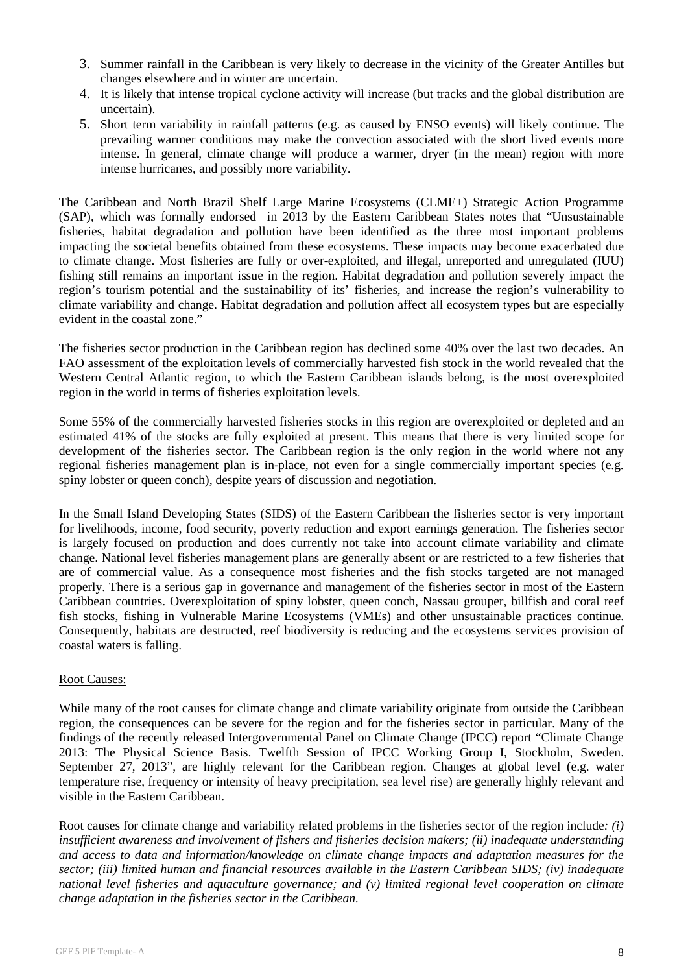- 3. Summer rainfall in the Caribbean is very likely to decrease in the vicinity of the Greater Antilles but changes elsewhere and in winter are uncertain.
- 4. It is likely that intense tropical cyclone activity will increase (but tracks and the global distribution are uncertain).
- 5. Short term variability in rainfall patterns (e.g. as caused by ENSO events) will likely continue. The prevailing warmer conditions may make the convection associated with the short lived events more intense. In general, climate change will produce a warmer, dryer (in the mean) region with more intense hurricanes, and possibly more variability.

The Caribbean and North Brazil Shelf Large Marine Ecosystems (CLME+) Strategic Action Programme (SAP), which was formally endorsed in 2013 by the Eastern Caribbean States notes that "Unsustainable fisheries, habitat degradation and pollution have been identified as the three most important problems impacting the societal benefits obtained from these ecosystems. These impacts may become exacerbated due to climate change. Most fisheries are fully or over-exploited, and illegal, unreported and unregulated (IUU) fishing still remains an important issue in the region. Habitat degradation and pollution severely impact the region's tourism potential and the sustainability of its' fisheries, and increase the region's vulnerability to climate variability and change. Habitat degradation and pollution affect all ecosystem types but are especially evident in the coastal zone."

The fisheries sector production in the Caribbean region has declined some 40% over the last two decades. An FAO assessment of the exploitation levels of commercially harvested fish stock in the world revealed that the Western Central Atlantic region, to which the Eastern Caribbean islands belong, is the most overexploited region in the world in terms of fisheries exploitation levels.

Some 55% of the commercially harvested fisheries stocks in this region are overexploited or depleted and an estimated 41% of the stocks are fully exploited at present. This means that there is very limited scope for development of the fisheries sector. The Caribbean region is the only region in the world where not any regional fisheries management plan is in-place, not even for a single commercially important species (e.g. spiny lobster or queen conch), despite years of discussion and negotiation.

In the Small Island Developing States (SIDS) of the Eastern Caribbean the fisheries sector is very important for livelihoods, income, food security, poverty reduction and export earnings generation. The fisheries sector is largely focused on production and does currently not take into account climate variability and climate change. National level fisheries management plans are generally absent or are restricted to a few fisheries that are of commercial value. As a consequence most fisheries and the fish stocks targeted are not managed properly. There is a serious gap in governance and management of the fisheries sector in most of the Eastern Caribbean countries. Overexploitation of spiny lobster, queen conch, Nassau grouper, billfish and coral reef fish stocks, fishing in Vulnerable Marine Ecosystems (VMEs) and other unsustainable practices continue. Consequently, habitats are destructed, reef biodiversity is reducing and the ecosystems services provision of coastal waters is falling.

## Root Causes:

While many of the root causes for climate change and climate variability originate from outside the Caribbean region, the consequences can be severe for the region and for the fisheries sector in particular. Many of the findings of the recently released Intergovernmental Panel on Climate Change (IPCC) report "Climate Change 2013: The Physical Science Basis. Twelfth Session of IPCC Working Group I, Stockholm, Sweden. September 27, 2013", are highly relevant for the Caribbean region. Changes at global level (e.g. water temperature rise, frequency or intensity of heavy precipitation, sea level rise) are generally highly relevant and visible in the Eastern Caribbean.

Root causes for climate change and variability related problems in the fisheries sector of the region include*: (i) insufficient awareness and involvement of fishers and fisheries decision makers; (ii) inadequate understanding and access to data and information/knowledge on climate change impacts and adaptation measures for the sector; (iii) limited human and financial resources available in the Eastern Caribbean SIDS; (iv) inadequate national level fisheries and aquaculture governance; and (v) limited regional level cooperation on climate change adaptation in the fisheries sector in the Caribbean.*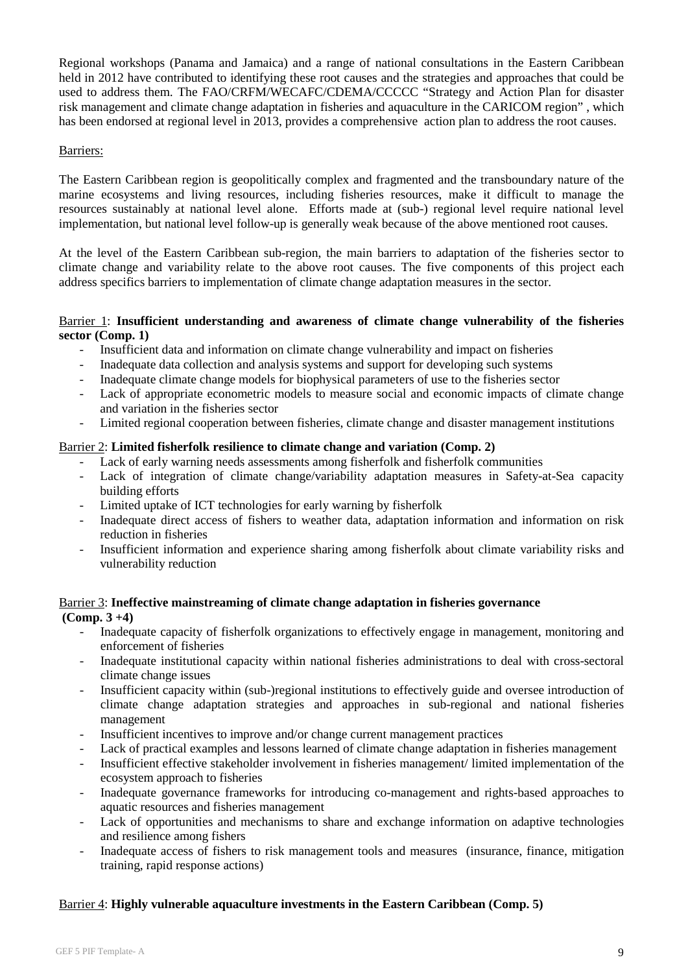Regional workshops (Panama and Jamaica) and a range of national consultations in the Eastern Caribbean held in 2012 have contributed to identifying these root causes and the strategies and approaches that could be used to address them. The FAO/CRFM/WECAFC/CDEMA/CCCCC "Strategy and Action Plan for disaster risk management and climate change adaptation in fisheries and aquaculture in the CARICOM region" , which has been endorsed at regional level in 2013, provides a comprehensive action plan to address the root causes.

## Barriers:

The Eastern Caribbean region is geopolitically complex and fragmented and the transboundary nature of the marine ecosystems and living resources, including fisheries resources, make it difficult to manage the resources sustainably at national level alone. Efforts made at (sub-) regional level require national level implementation, but national level follow-up is generally weak because of the above mentioned root causes.

At the level of the Eastern Caribbean sub-region, the main barriers to adaptation of the fisheries sector to climate change and variability relate to the above root causes. The five components of this project each address specifics barriers to implementation of climate change adaptation measures in the sector.

## Barrier 1: **Insufficient understanding and awareness of climate change vulnerability of the fisheries sector (Comp. 1)**

- Insufficient data and information on climate change vulnerability and impact on fisheries
- Inadequate data collection and analysis systems and support for developing such systems
- Inadequate climate change models for biophysical parameters of use to the fisheries sector
- Lack of appropriate econometric models to measure social and economic impacts of climate change and variation in the fisheries sector
- Limited regional cooperation between fisheries, climate change and disaster management institutions

## Barrier 2: **Limited fisherfolk resilience to climate change and variation (Comp. 2)**

- Lack of early warning needs assessments among fisherfolk and fisherfolk communities
- Lack of integration of climate change/variability adaptation measures in Safety-at-Sea capacity building efforts
- Limited uptake of ICT technologies for early warning by fisherfolk
- Inadequate direct access of fishers to weather data, adaptation information and information on risk reduction in fisheries
- Insufficient information and experience sharing among fisherfolk about climate variability risks and vulnerability reduction

# Barrier 3: **Ineffective mainstreaming of climate change adaptation in fisheries governance (Comp. 3 +4)**

- Inadequate capacity of fisherfolk organizations to effectively engage in management, monitoring and enforcement of fisheries
- Inadequate institutional capacity within national fisheries administrations to deal with cross-sectoral climate change issues
- Insufficient capacity within (sub-)regional institutions to effectively guide and oversee introduction of climate change adaptation strategies and approaches in sub-regional and national fisheries management
- Insufficient incentives to improve and/or change current management practices
- Lack of practical examples and lessons learned of climate change adaptation in fisheries management
- Insufficient effective stakeholder involvement in fisheries management/ limited implementation of the ecosystem approach to fisheries
- Inadequate governance frameworks for introducing co-management and rights-based approaches to aquatic resources and fisheries management
- Lack of opportunities and mechanisms to share and exchange information on adaptive technologies and resilience among fishers
- Inadequate access of fishers to risk management tools and measures (insurance, finance, mitigation training, rapid response actions)

## Barrier 4: **Highly vulnerable aquaculture investments in the Eastern Caribbean (Comp. 5)**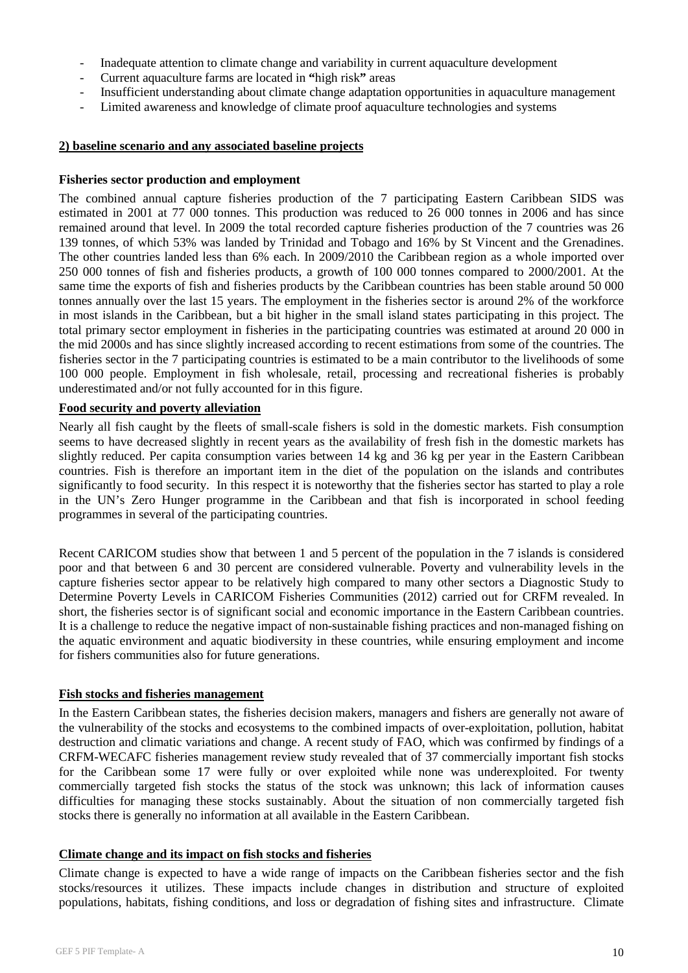- Inadequate attention to climate change and variability in current aquaculture development
- Current aquaculture farms are located in **"**high risk**"** areas
- Insufficient understanding about climate change adaptation opportunities in aquaculture management
- Limited awareness and knowledge of climate proof aquaculture technologies and systems

## **2) baseline scenario and any associated baseline projects**

## **Fisheries sector production and employment**

The combined annual capture fisheries production of the 7 participating Eastern Caribbean SIDS was estimated in 2001 at 77 000 tonnes. This production was reduced to 26 000 tonnes in 2006 and has since remained around that level. In 2009 the total recorded capture fisheries production of the 7 countries was 26 139 tonnes, of which 53% was landed by Trinidad and Tobago and 16% by St Vincent and the Grenadines. The other countries landed less than 6% each. In 2009/2010 the Caribbean region as a whole imported over 250 000 tonnes of fish and fisheries products, a growth of 100 000 tonnes compared to 2000/2001. At the same time the exports of fish and fisheries products by the Caribbean countries has been stable around 50 000 tonnes annually over the last 15 years. The employment in the fisheries sector is around 2% of the workforce in most islands in the Caribbean, but a bit higher in the small island states participating in this project. The total primary sector employment in fisheries in the participating countries was estimated at around 20 000 in the mid 2000s and has since slightly increased according to recent estimations from some of the countries. The fisheries sector in the 7 participating countries is estimated to be a main contributor to the livelihoods of some 100 000 people. Employment in fish wholesale, retail, processing and recreational fisheries is probably underestimated and/or not fully accounted for in this figure.

## **Food security and poverty alleviation**

Nearly all fish caught by the fleets of small-scale fishers is sold in the domestic markets. Fish consumption seems to have decreased slightly in recent years as the availability of fresh fish in the domestic markets has slightly reduced. Per capita consumption varies between 14 kg and 36 kg per year in the Eastern Caribbean countries. Fish is therefore an important item in the diet of the population on the islands and contributes significantly to food security. In this respect it is noteworthy that the fisheries sector has started to play a role in the UN's Zero Hunger programme in the Caribbean and that fish is incorporated in school feeding programmes in several of the participating countries.

Recent CARICOM studies show that between 1 and 5 percent of the population in the 7 islands is considered poor and that between 6 and 30 percent are considered vulnerable. Poverty and vulnerability levels in the capture fisheries sector appear to be relatively high compared to many other sectors a Diagnostic Study to Determine Poverty Levels in CARICOM Fisheries Communities (2012) carried out for CRFM revealed. In short, the fisheries sector is of significant social and economic importance in the Eastern Caribbean countries. It is a challenge to reduce the negative impact of non-sustainable fishing practices and non-managed fishing on the aquatic environment and aquatic biodiversity in these countries, while ensuring employment and income for fishers communities also for future generations.

## **Fish stocks and fisheries management**

In the Eastern Caribbean states, the fisheries decision makers, managers and fishers are generally not aware of the vulnerability of the stocks and ecosystems to the combined impacts of over-exploitation, pollution, habitat destruction and climatic variations and change. A recent study of FAO, which was confirmed by findings of a CRFM-WECAFC fisheries management review study revealed that of 37 commercially important fish stocks for the Caribbean some 17 were fully or over exploited while none was underexploited. For twenty commercially targeted fish stocks the status of the stock was unknown; this lack of information causes difficulties for managing these stocks sustainably. About the situation of non commercially targeted fish stocks there is generally no information at all available in the Eastern Caribbean.

## **Climate change and its impact on fish stocks and fisheries**

Climate change is expected to have a wide range of impacts on the Caribbean fisheries sector and the fish stocks/resources it utilizes. These impacts include changes in distribution and structure of exploited populations, habitats, fishing conditions, and loss or degradation of fishing sites and infrastructure. Climate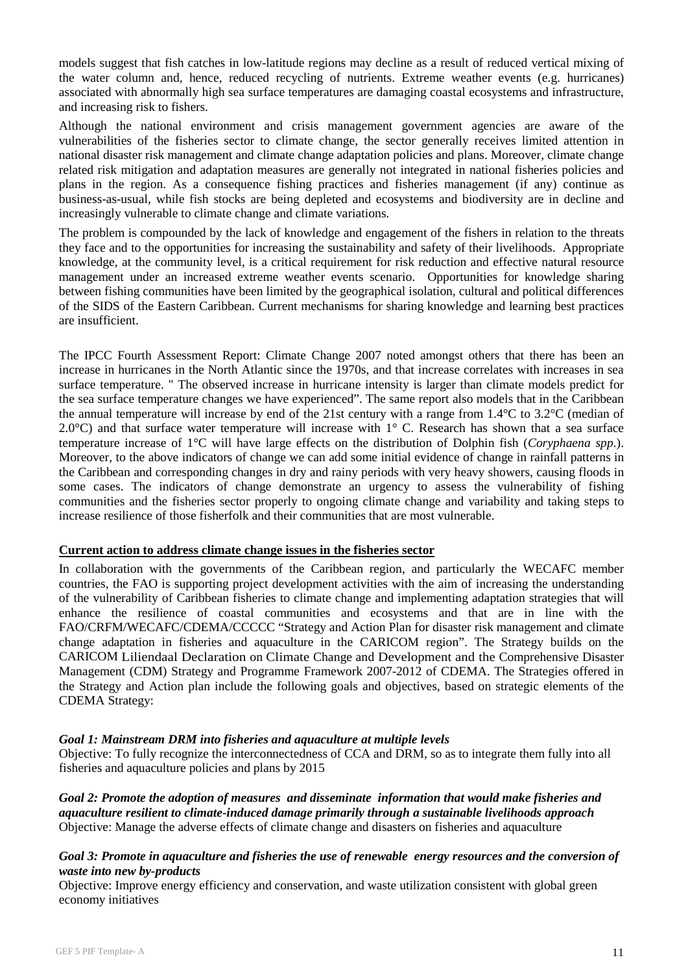models suggest that fish catches in low-latitude regions may decline as a result of reduced vertical mixing of the water column and, hence, reduced recycling of nutrients. Extreme weather events (e.g. hurricanes) associated with abnormally high sea surface temperatures are damaging coastal ecosystems and infrastructure, and increasing risk to fishers.

Although the national environment and crisis management government agencies are aware of the vulnerabilities of the fisheries sector to climate change, the sector generally receives limited attention in national disaster risk management and climate change adaptation policies and plans. Moreover, climate change related risk mitigation and adaptation measures are generally not integrated in national fisheries policies and plans in the region. As a consequence fishing practices and fisheries management (if any) continue as business-as-usual, while fish stocks are being depleted and ecosystems and biodiversity are in decline and increasingly vulnerable to climate change and climate variations.

The problem is compounded by the lack of knowledge and engagement of the fishers in relation to the threats they face and to the opportunities for increasing the sustainability and safety of their livelihoods. Appropriate knowledge, at the community level, is a critical requirement for risk reduction and effective natural resource management under an increased extreme weather events scenario. Opportunities for knowledge sharing between fishing communities have been limited by the geographical isolation, cultural and political differences of the SIDS of the Eastern Caribbean. Current mechanisms for sharing knowledge and learning best practices are insufficient.

The IPCC Fourth Assessment Report: Climate Change 2007 noted amongst others that there has been an increase in hurricanes in the North Atlantic since the 1970s, and that increase correlates with increases in sea surface temperature. " The observed increase in hurricane intensity is larger than climate models predict for the sea surface temperature changes we have experienced". The same report also models that in the Caribbean the annual temperature will increase by end of the 21st century with a range from 1.4°C to 3.2°C (median of 2.0°C) and that surface water temperature will increase with 1° C. Research has shown that a sea surface temperature increase of 1°C will have large effects on the distribution of Dolphin fish (*Coryphaena spp*.). Moreover, to the above indicators of change we can add some initial evidence of change in rainfall patterns in the Caribbean and corresponding changes in dry and rainy periods with very heavy showers, causing floods in some cases. The indicators of change demonstrate an urgency to assess the vulnerability of fishing communities and the fisheries sector properly to ongoing climate change and variability and taking steps to increase resilience of those fisherfolk and their communities that are most vulnerable.

## **Current action to address climate change issues in the fisheries sector**

In collaboration with the governments of the Caribbean region, and particularly the WECAFC member countries, the FAO is supporting project development activities with the aim of increasing the understanding of the vulnerability of Caribbean fisheries to climate change and implementing adaptation strategies that will enhance the resilience of coastal communities and ecosystems and that are in line with the FAO/CRFM/WECAFC/CDEMA/CCCCC "Strategy and Action Plan for disaster risk management and climate change adaptation in fisheries and aquaculture in the CARICOM region". The Strategy builds on the CARICOM Liliendaal Declaration on Climate Change and Development and the Comprehensive Disaster Management (CDM) Strategy and Programme Framework 2007-2012 of CDEMA. The Strategies offered in the Strategy and Action plan include the following goals and objectives, based on strategic elements of the CDEMA Strategy:

# *Goal 1: Mainstream DRM into fisheries and aquaculture at multiple levels*

Objective: To fully recognize the interconnectedness of CCA and DRM, so as to integrate them fully into all fisheries and aquaculture policies and plans by 2015

*Goal 2: Promote the adoption of measures and disseminate information that would make fisheries and aquaculture resilient to climate-induced damage primarily through a sustainable livelihoods approach* Objective: Manage the adverse effects of climate change and disasters on fisheries and aquaculture

## *Goal 3: Promote in aquaculture and fisheries the use of renewable energy resources and the conversion of waste into new by-products*

Objective: Improve energy efficiency and conservation, and waste utilization consistent with global green economy initiatives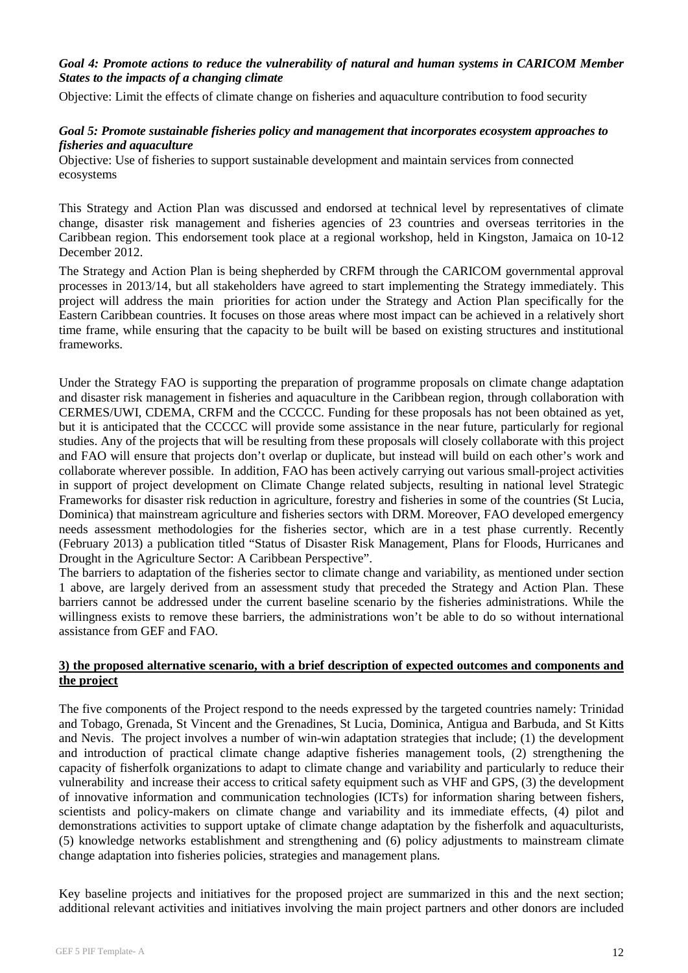## *Goal 4: Promote actions to reduce the vulnerability of natural and human systems in CARICOM Member States to the impacts of a changing climate*

Objective: Limit the effects of climate change on fisheries and aquaculture contribution to food security

## *Goal 5: Promote sustainable fisheries policy and management that incorporates ecosystem approaches to fisheries and aquaculture*

Objective: Use of fisheries to support sustainable development and maintain services from connected ecosystems

This Strategy and Action Plan was discussed and endorsed at technical level by representatives of climate change, disaster risk management and fisheries agencies of 23 countries and overseas territories in the Caribbean region. This endorsement took place at a regional workshop, held in Kingston, Jamaica on 10-12 December 2012.

The Strategy and Action Plan is being shepherded by CRFM through the CARICOM governmental approval processes in 2013/14, but all stakeholders have agreed to start implementing the Strategy immediately. This project will address the main priorities for action under the Strategy and Action Plan specifically for the Eastern Caribbean countries. It focuses on those areas where most impact can be achieved in a relatively short time frame, while ensuring that the capacity to be built will be based on existing structures and institutional frameworks.

Under the Strategy FAO is supporting the preparation of programme proposals on climate change adaptation and disaster risk management in fisheries and aquaculture in the Caribbean region, through collaboration with CERMES/UWI, CDEMA, CRFM and the CCCCC. Funding for these proposals has not been obtained as yet, but it is anticipated that the CCCCC will provide some assistance in the near future, particularly for regional studies. Any of the projects that will be resulting from these proposals will closely collaborate with this project and FAO will ensure that projects don't overlap or duplicate, but instead will build on each other's work and collaborate wherever possible. In addition, FAO has been actively carrying out various small-project activities in support of project development on Climate Change related subjects, resulting in national level Strategic Frameworks for disaster risk reduction in agriculture, forestry and fisheries in some of the countries (St Lucia, Dominica) that mainstream agriculture and fisheries sectors with DRM. Moreover, FAO developed emergency needs assessment methodologies for the fisheries sector, which are in a test phase currently. Recently (February 2013) a publication titled "Status of Disaster Risk Management, Plans for Floods, Hurricanes and Drought in the Agriculture Sector: A Caribbean Perspective".

The barriers to adaptation of the fisheries sector to climate change and variability, as mentioned under section 1 above, are largely derived from an assessment study that preceded the Strategy and Action Plan. These barriers cannot be addressed under the current baseline scenario by the fisheries administrations. While the willingness exists to remove these barriers, the administrations won't be able to do so without international assistance from GEF and FAO.

## **3) the proposed alternative scenario, with a brief description of expected outcomes and components and the project**

The five components of the Project respond to the needs expressed by the targeted countries namely: Trinidad and Tobago, Grenada, St Vincent and the Grenadines, St Lucia, Dominica, Antigua and Barbuda, and St Kitts and Nevis. The project involves a number of win-win adaptation strategies that include; (1) the development and introduction of practical climate change adaptive fisheries management tools, (2) strengthening the capacity of fisherfolk organizations to adapt to climate change and variability and particularly to reduce their vulnerability and increase their access to critical safety equipment such as VHF and GPS, (3) the development of innovative information and communication technologies (ICTs) for information sharing between fishers, scientists and policy-makers on climate change and variability and its immediate effects, (4) pilot and demonstrations activities to support uptake of climate change adaptation by the fisherfolk and aquaculturists, (5) knowledge networks establishment and strengthening and (6) policy adjustments to mainstream climate change adaptation into fisheries policies, strategies and management plans.

Key baseline projects and initiatives for the proposed project are summarized in this and the next section; additional relevant activities and initiatives involving the main project partners and other donors are included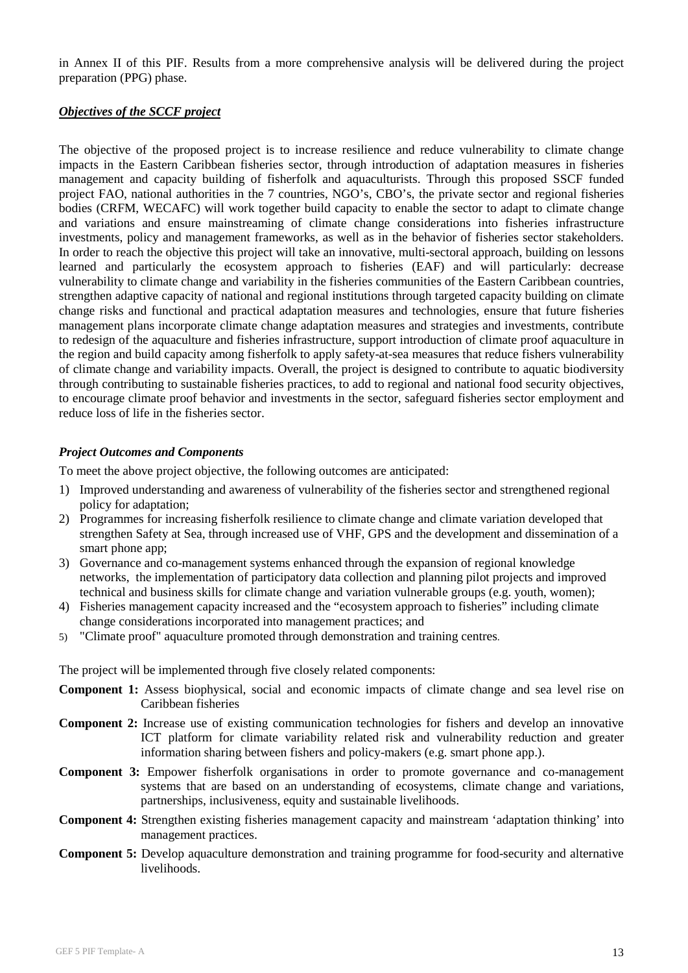in Annex II of this PIF. Results from a more comprehensive analysis will be delivered during the project preparation (PPG) phase.

## *Objectives of the SCCF project*

The objective of the proposed project is to increase resilience and reduce vulnerability to climate change impacts in the Eastern Caribbean fisheries sector, through introduction of adaptation measures in fisheries management and capacity building of fisherfolk and aquaculturists. Through this proposed SSCF funded project FAO, national authorities in the 7 countries, NGO's, CBO's, the private sector and regional fisheries bodies (CRFM, WECAFC) will work together build capacity to enable the sector to adapt to climate change and variations and ensure mainstreaming of climate change considerations into fisheries infrastructure investments, policy and management frameworks, as well as in the behavior of fisheries sector stakeholders. In order to reach the objective this project will take an innovative, multi-sectoral approach, building on lessons learned and particularly the ecosystem approach to fisheries (EAF) and will particularly: decrease vulnerability to climate change and variability in the fisheries communities of the Eastern Caribbean countries, strengthen adaptive capacity of national and regional institutions through targeted capacity building on climate change risks and functional and practical adaptation measures and technologies, ensure that future fisheries management plans incorporate climate change adaptation measures and strategies and investments, contribute to redesign of the aquaculture and fisheries infrastructure, support introduction of climate proof aquaculture in the region and build capacity among fisherfolk to apply safety-at-sea measures that reduce fishers vulnerability of climate change and variability impacts. Overall, the project is designed to contribute to aquatic biodiversity through contributing to sustainable fisheries practices, to add to regional and national food security objectives, to encourage climate proof behavior and investments in the sector, safeguard fisheries sector employment and reduce loss of life in the fisheries sector.

## *Project Outcomes and Components*

To meet the above project objective, the following outcomes are anticipated:

- 1) Improved understanding and awareness of vulnerability of the fisheries sector and strengthened regional policy for adaptation;
- 2) Programmes for increasing fisherfolk resilience to climate change and climate variation developed that strengthen Safety at Sea, through increased use of VHF, GPS and the development and dissemination of a smart phone app;
- 3) Governance and co-management systems enhanced through the expansion of regional knowledge networks, the implementation of participatory data collection and planning pilot projects and improved technical and business skills for climate change and variation vulnerable groups (e.g. youth, women);
- 4) Fisheries management capacity increased and the "ecosystem approach to fisheries" including climate change considerations incorporated into management practices; and
- 5) "Climate proof" aquaculture promoted through demonstration and training centres.

The project will be implemented through five closely related components:

- **Component 1:** Assess biophysical, social and economic impacts of climate change and sea level rise on Caribbean fisheries
- **Component 2:** Increase use of existing communication technologies for fishers and develop an innovative ICT platform for climate variability related risk and vulnerability reduction and greater information sharing between fishers and policy-makers (e.g. smart phone app.).
- **Component 3:** Empower fisherfolk organisations in order to promote governance and co-management systems that are based on an understanding of ecosystems, climate change and variations, partnerships, inclusiveness, equity and sustainable livelihoods.
- **Component 4:** Strengthen existing fisheries management capacity and mainstream 'adaptation thinking' into management practices.
- **Component 5:** Develop aquaculture demonstration and training programme for food-security and alternative livelihoods.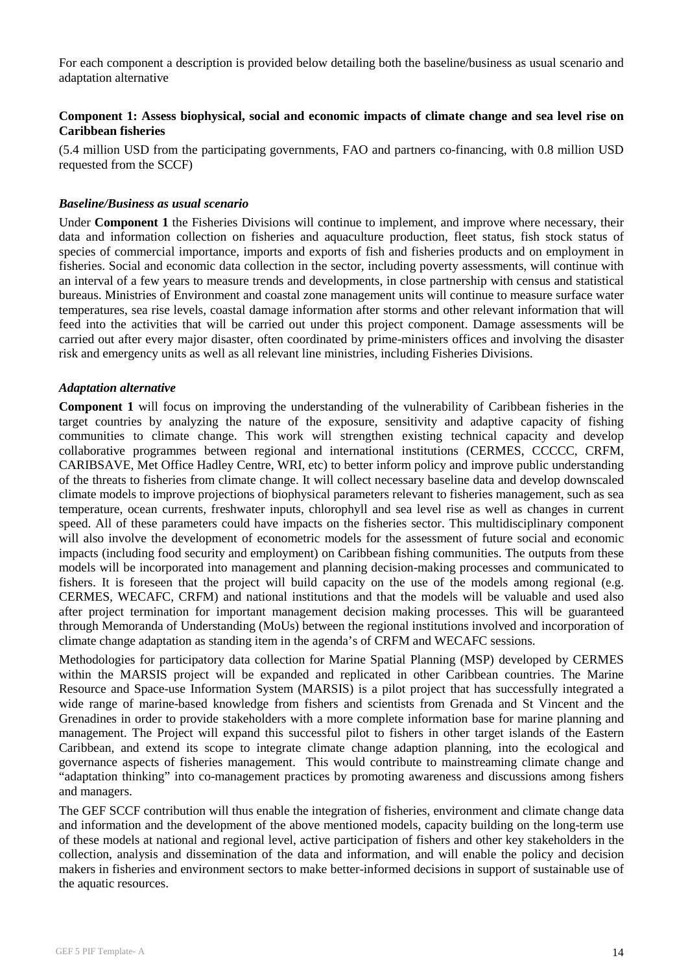For each component a description is provided below detailing both the baseline/business as usual scenario and adaptation alternative

# **Component 1: Assess biophysical, social and economic impacts of climate change and sea level rise on Caribbean fisheries**

(5.4 million USD from the participating governments, FAO and partners co-financing, with 0.8 million USD requested from the SCCF)

#### *Baseline/Business as usual scenario*

Under **Component 1** the Fisheries Divisions will continue to implement, and improve where necessary, their data and information collection on fisheries and aquaculture production, fleet status, fish stock status of species of commercial importance, imports and exports of fish and fisheries products and on employment in fisheries. Social and economic data collection in the sector, including poverty assessments, will continue with an interval of a few years to measure trends and developments, in close partnership with census and statistical bureaus. Ministries of Environment and coastal zone management units will continue to measure surface water temperatures, sea rise levels, coastal damage information after storms and other relevant information that will feed into the activities that will be carried out under this project component. Damage assessments will be carried out after every major disaster, often coordinated by prime-ministers offices and involving the disaster risk and emergency units as well as all relevant line ministries, including Fisheries Divisions.

#### *Adaptation alternative*

**Component 1** will focus on improving the understanding of the vulnerability of Caribbean fisheries in the target countries by analyzing the nature of the exposure, sensitivity and adaptive capacity of fishing communities to climate change. This work will strengthen existing technical capacity and develop collaborative programmes between regional and international institutions (CERMES, CCCCC, CRFM, CARIBSAVE, Met Office Hadley Centre, WRI, etc) to better inform policy and improve public understanding of the threats to fisheries from climate change. It will collect necessary baseline data and develop downscaled climate models to improve projections of biophysical parameters relevant to fisheries management, such as sea temperature, ocean currents, freshwater inputs, chlorophyll and sea level rise as well as changes in current speed. All of these parameters could have impacts on the fisheries sector. This multidisciplinary component will also involve the development of econometric models for the assessment of future social and economic impacts (including food security and employment) on Caribbean fishing communities. The outputs from these models will be incorporated into management and planning decision-making processes and communicated to fishers. It is foreseen that the project will build capacity on the use of the models among regional (e.g. CERMES, WECAFC, CRFM) and national institutions and that the models will be valuable and used also after project termination for important management decision making processes. This will be guaranteed through Memoranda of Understanding (MoUs) between the regional institutions involved and incorporation of climate change adaptation as standing item in the agenda's of CRFM and WECAFC sessions.

Methodologies for participatory data collection for Marine Spatial Planning (MSP) developed by CERMES within the MARSIS project will be expanded and replicated in other Caribbean countries. The Marine Resource and Space-use Information System (MARSIS) is a pilot project that has successfully integrated a wide range of marine-based knowledge from fishers and scientists from Grenada and St Vincent and the Grenadines in order to provide stakeholders with a more complete information base for marine planning and management. The Project will expand this successful pilot to fishers in other target islands of the Eastern Caribbean, and extend its scope to integrate climate change adaption planning, into the ecological and governance aspects of fisheries management. This would contribute to mainstreaming climate change and "adaptation thinking" into co-management practices by promoting awareness and discussions among fishers and managers.

The GEF SCCF contribution will thus enable the integration of fisheries, environment and climate change data and information and the development of the above mentioned models, capacity building on the long-term use of these models at national and regional level, active participation of fishers and other key stakeholders in the collection, analysis and dissemination of the data and information, and will enable the policy and decision makers in fisheries and environment sectors to make better-informed decisions in support of sustainable use of the aquatic resources.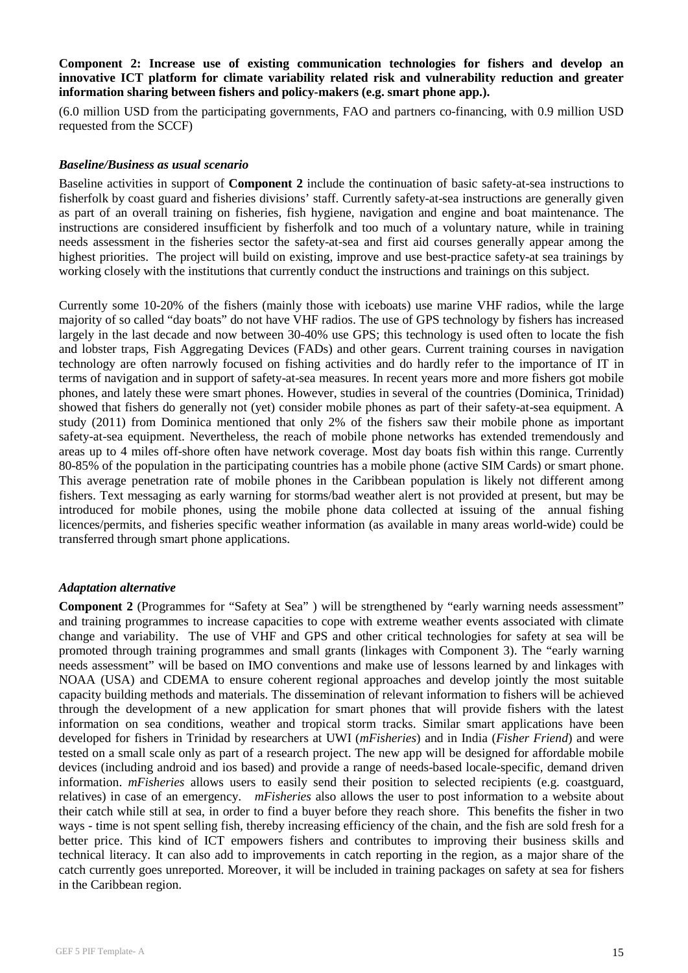**Component 2: Increase use of existing communication technologies for fishers and develop an innovative ICT platform for climate variability related risk and vulnerability reduction and greater information sharing between fishers and policy-makers (e.g. smart phone app.).**

(6.0 million USD from the participating governments, FAO and partners co-financing, with 0.9 million USD requested from the SCCF)

#### *Baseline/Business as usual scenario*

Baseline activities in support of **Component 2** include the continuation of basic safety-at-sea instructions to fisherfolk by coast guard and fisheries divisions' staff. Currently safety-at-sea instructions are generally given as part of an overall training on fisheries, fish hygiene, navigation and engine and boat maintenance. The instructions are considered insufficient by fisherfolk and too much of a voluntary nature, while in training needs assessment in the fisheries sector the safety-at-sea and first aid courses generally appear among the highest priorities. The project will build on existing, improve and use best-practice safety-at sea trainings by working closely with the institutions that currently conduct the instructions and trainings on this subject.

Currently some 10-20% of the fishers (mainly those with iceboats) use marine VHF radios, while the large majority of so called "day boats" do not have VHF radios. The use of GPS technology by fishers has increased largely in the last decade and now between 30-40% use GPS; this technology is used often to locate the fish and lobster traps, Fish Aggregating Devices (FADs) and other gears. Current training courses in navigation technology are often narrowly focused on fishing activities and do hardly refer to the importance of IT in terms of navigation and in support of safety-at-sea measures. In recent years more and more fishers got mobile phones, and lately these were smart phones. However, studies in several of the countries (Dominica, Trinidad) showed that fishers do generally not (yet) consider mobile phones as part of their safety-at-sea equipment. A study (2011) from Dominica mentioned that only 2% of the fishers saw their mobile phone as important safety-at-sea equipment. Nevertheless, the reach of mobile phone networks has extended tremendously and areas up to 4 miles off-shore often have network coverage. Most day boats fish within this range. Currently 80-85% of the population in the participating countries has a mobile phone (active SIM Cards) or smart phone. This average penetration rate of mobile phones in the Caribbean population is likely not different among fishers. Text messaging as early warning for storms/bad weather alert is not provided at present, but may be introduced for mobile phones, using the mobile phone data collected at issuing of the annual fishing licences/permits, and fisheries specific weather information (as available in many areas world-wide) could be transferred through smart phone applications.

## *Adaptation alternative*

**Component 2** (Programmes for "Safety at Sea") will be strengthened by "early warning needs assessment" and training programmes to increase capacities to cope with extreme weather events associated with climate change and variability. The use of VHF and GPS and other critical technologies for safety at sea will be promoted through training programmes and small grants (linkages with Component 3). The "early warning needs assessment" will be based on IMO conventions and make use of lessons learned by and linkages with NOAA (USA) and CDEMA to ensure coherent regional approaches and develop jointly the most suitable capacity building methods and materials. The dissemination of relevant information to fishers will be achieved through the development of a new application for smart phones that will provide fishers with the latest information on sea conditions, weather and tropical storm tracks. Similar smart applications have been developed for fishers in Trinidad by researchers at UWI (*mFisheries*) and in India (*Fisher Friend*) and were tested on a small scale only as part of a research project. The new app will be designed for affordable mobile devices (including android and ios based) and provide a range of needs-based locale-specific, demand driven information. *mFisheries* allows users to easily send their position to selected recipients (e.g. coastguard, relatives) in case of an emergency. *mFisheries* also allows the user to post information to a website about their catch while still at sea, in order to find a buyer before they reach shore. This benefits the fisher in two ways - time is not spent selling fish, thereby increasing efficiency of the chain, and the fish are sold fresh for a better price. This kind of ICT empowers fishers and contributes to improving their business skills and technical literacy. It can also add to improvements in catch reporting in the region, as a major share of the catch currently goes unreported. Moreover, it will be included in training packages on safety at sea for fishers in the Caribbean region.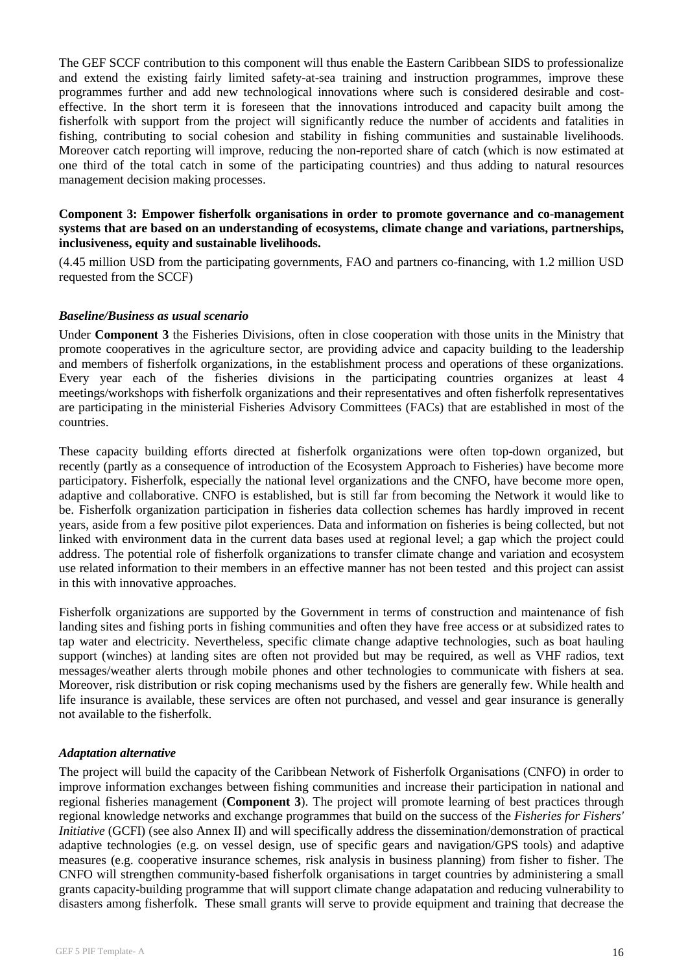The GEF SCCF contribution to this component will thus enable the Eastern Caribbean SIDS to professionalize and extend the existing fairly limited safety-at-sea training and instruction programmes, improve these programmes further and add new technological innovations where such is considered desirable and costeffective. In the short term it is foreseen that the innovations introduced and capacity built among the fisherfolk with support from the project will significantly reduce the number of accidents and fatalities in fishing, contributing to social cohesion and stability in fishing communities and sustainable livelihoods. Moreover catch reporting will improve, reducing the non-reported share of catch (which is now estimated at one third of the total catch in some of the participating countries) and thus adding to natural resources management decision making processes.

#### **Component 3: Empower fisherfolk organisations in order to promote governance and co-management systems that are based on an understanding of ecosystems, climate change and variations, partnerships, inclusiveness, equity and sustainable livelihoods.**

(4.45 million USD from the participating governments, FAO and partners co-financing, with 1.2 million USD requested from the SCCF)

## *Baseline/Business as usual scenario*

Under **Component 3** the Fisheries Divisions, often in close cooperation with those units in the Ministry that promote cooperatives in the agriculture sector, are providing advice and capacity building to the leadership and members of fisherfolk organizations, in the establishment process and operations of these organizations. Every year each of the fisheries divisions in the participating countries organizes at least 4 meetings/workshops with fisherfolk organizations and their representatives and often fisherfolk representatives are participating in the ministerial Fisheries Advisory Committees (FACs) that are established in most of the countries.

These capacity building efforts directed at fisherfolk organizations were often top-down organized, but recently (partly as a consequence of introduction of the Ecosystem Approach to Fisheries) have become more participatory. Fisherfolk, especially the national level organizations and the CNFO, have become more open, adaptive and collaborative. CNFO is established, but is still far from becoming the Network it would like to be. Fisherfolk organization participation in fisheries data collection schemes has hardly improved in recent years, aside from a few positive pilot experiences. Data and information on fisheries is being collected, but not linked with environment data in the current data bases used at regional level; a gap which the project could address. The potential role of fisherfolk organizations to transfer climate change and variation and ecosystem use related information to their members in an effective manner has not been tested and this project can assist in this with innovative approaches.

Fisherfolk organizations are supported by the Government in terms of construction and maintenance of fish landing sites and fishing ports in fishing communities and often they have free access or at subsidized rates to tap water and electricity. Nevertheless, specific climate change adaptive technologies, such as boat hauling support (winches) at landing sites are often not provided but may be required, as well as VHF radios, text messages/weather alerts through mobile phones and other technologies to communicate with fishers at sea. Moreover, risk distribution or risk coping mechanisms used by the fishers are generally few. While health and life insurance is available, these services are often not purchased, and vessel and gear insurance is generally not available to the fisherfolk.

## *Adaptation alternative*

The project will build the capacity of the Caribbean Network of Fisherfolk Organisations (CNFO) in order to improve information exchanges between fishing communities and increase their participation in national and regional fisheries management (**Component 3**). The project will promote learning of best practices through regional knowledge networks and exchange programmes that build on the success of the *Fisheries for Fishers' Initiative* (GCFI) (see also Annex II) and will specifically address the dissemination/demonstration of practical adaptive technologies (e.g. on vessel design, use of specific gears and navigation/GPS tools) and adaptive measures (e.g. cooperative insurance schemes, risk analysis in business planning) from fisher to fisher. The CNFO will strengthen community-based fisherfolk organisations in target countries by administering a small grants capacity-building programme that will support climate change adapatation and reducing vulnerability to disasters among fisherfolk. These small grants will serve to provide equipment and training that decrease the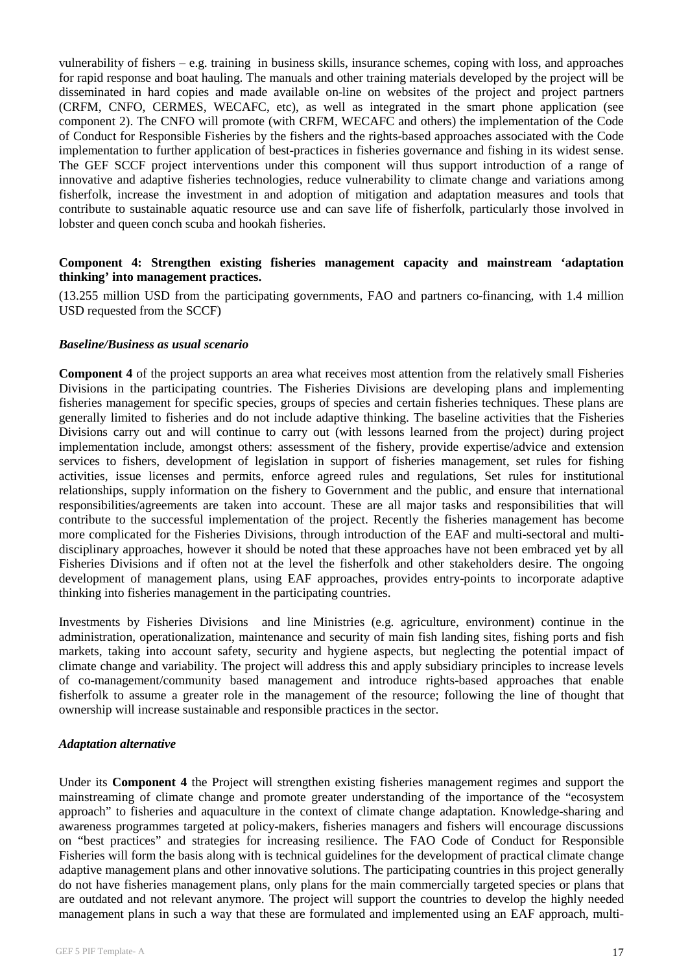vulnerability of fishers – e.g. training in business skills, insurance schemes, coping with loss, and approaches for rapid response and boat hauling. The manuals and other training materials developed by the project will be disseminated in hard copies and made available on-line on websites of the project and project partners (CRFM, CNFO, CERMES, WECAFC, etc), as well as integrated in the smart phone application (see component 2). The CNFO will promote (with CRFM, WECAFC and others) the implementation of the Code of Conduct for Responsible Fisheries by the fishers and the rights-based approaches associated with the Code implementation to further application of best-practices in fisheries governance and fishing in its widest sense. The GEF SCCF project interventions under this component will thus support introduction of a range of innovative and adaptive fisheries technologies, reduce vulnerability to climate change and variations among fisherfolk, increase the investment in and adoption of mitigation and adaptation measures and tools that contribute to sustainable aquatic resource use and can save life of fisherfolk, particularly those involved in lobster and queen conch scuba and hookah fisheries.

#### **Component 4: Strengthen existing fisheries management capacity and mainstream 'adaptation thinking' into management practices.**

(13.255 million USD from the participating governments, FAO and partners co-financing, with 1.4 million USD requested from the SCCF)

#### *Baseline/Business as usual scenario*

**Component 4** of the project supports an area what receives most attention from the relatively small Fisheries Divisions in the participating countries. The Fisheries Divisions are developing plans and implementing fisheries management for specific species, groups of species and certain fisheries techniques. These plans are generally limited to fisheries and do not include adaptive thinking. The baseline activities that the Fisheries Divisions carry out and will continue to carry out (with lessons learned from the project) during project implementation include, amongst others: assessment of the fishery, provide expertise/advice and extension services to fishers, development of legislation in support of fisheries management, set rules for fishing activities, issue licenses and permits, enforce agreed rules and regulations, Set rules for institutional relationships, supply information on the fishery to Government and the public, and ensure that international responsibilities/agreements are taken into account. These are all major tasks and responsibilities that will contribute to the successful implementation of the project. Recently the fisheries management has become more complicated for the Fisheries Divisions, through introduction of the EAF and multi-sectoral and multidisciplinary approaches, however it should be noted that these approaches have not been embraced yet by all Fisheries Divisions and if often not at the level the fisherfolk and other stakeholders desire. The ongoing development of management plans, using EAF approaches, provides entry-points to incorporate adaptive thinking into fisheries management in the participating countries.

Investments by Fisheries Divisions and line Ministries (e.g. agriculture, environment) continue in the administration, operationalization, maintenance and security of main fish landing sites, fishing ports and fish markets, taking into account safety, security and hygiene aspects, but neglecting the potential impact of climate change and variability. The project will address this and apply subsidiary principles to increase levels of co-management/community based management and introduce rights-based approaches that enable fisherfolk to assume a greater role in the management of the resource; following the line of thought that ownership will increase sustainable and responsible practices in the sector.

#### *Adaptation alternative*

Under its **Component 4** the Project will strengthen existing fisheries management regimes and support the mainstreaming of climate change and promote greater understanding of the importance of the "ecosystem approach" to fisheries and aquaculture in the context of climate change adaptation. Knowledge-sharing and awareness programmes targeted at policy-makers, fisheries managers and fishers will encourage discussions on "best practices" and strategies for increasing resilience. The FAO Code of Conduct for Responsible Fisheries will form the basis along with is technical guidelines for the development of practical climate change adaptive management plans and other innovative solutions. The participating countries in this project generally do not have fisheries management plans, only plans for the main commercially targeted species or plans that are outdated and not relevant anymore. The project will support the countries to develop the highly needed management plans in such a way that these are formulated and implemented using an EAF approach, multi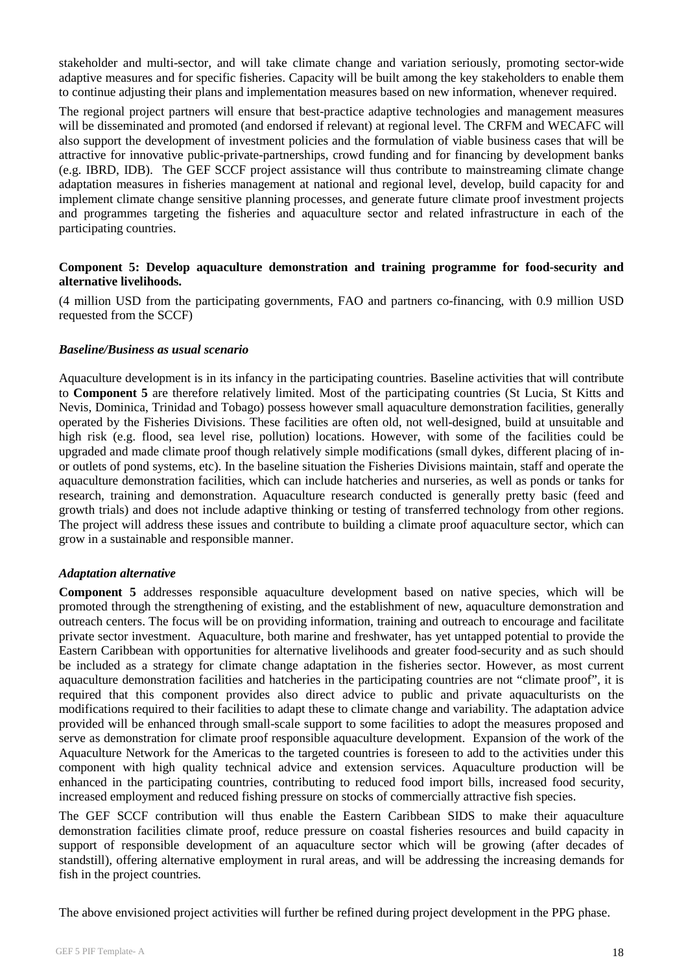stakeholder and multi-sector, and will take climate change and variation seriously, promoting sector-wide adaptive measures and for specific fisheries. Capacity will be built among the key stakeholders to enable them to continue adjusting their plans and implementation measures based on new information, whenever required.

The regional project partners will ensure that best-practice adaptive technologies and management measures will be disseminated and promoted (and endorsed if relevant) at regional level. The CRFM and WECAFC will also support the development of investment policies and the formulation of viable business cases that will be attractive for innovative public-private-partnerships, crowd funding and for financing by development banks (e.g. IBRD, IDB). The GEF SCCF project assistance will thus contribute to mainstreaming climate change adaptation measures in fisheries management at national and regional level, develop, build capacity for and implement climate change sensitive planning processes, and generate future climate proof investment projects and programmes targeting the fisheries and aquaculture sector and related infrastructure in each of the participating countries.

## **Component 5: Develop aquaculture demonstration and training programme for food-security and alternative livelihoods.**

(4 million USD from the participating governments, FAO and partners co-financing, with 0.9 million USD requested from the SCCF)

#### *Baseline/Business as usual scenario*

Aquaculture development is in its infancy in the participating countries. Baseline activities that will contribute to **Component 5** are therefore relatively limited. Most of the participating countries (St Lucia, St Kitts and Nevis, Dominica, Trinidad and Tobago) possess however small aquaculture demonstration facilities, generally operated by the Fisheries Divisions. These facilities are often old, not well-designed, build at unsuitable and high risk (e.g. flood, sea level rise, pollution) locations. However, with some of the facilities could be upgraded and made climate proof though relatively simple modifications (small dykes, different placing of inor outlets of pond systems, etc). In the baseline situation the Fisheries Divisions maintain, staff and operate the aquaculture demonstration facilities, which can include hatcheries and nurseries, as well as ponds or tanks for research, training and demonstration. Aquaculture research conducted is generally pretty basic (feed and growth trials) and does not include adaptive thinking or testing of transferred technology from other regions. The project will address these issues and contribute to building a climate proof aquaculture sector, which can grow in a sustainable and responsible manner.

## *Adaptation alternative*

**Component 5** addresses responsible aquaculture development based on native species, which will be promoted through the strengthening of existing, and the establishment of new, aquaculture demonstration and outreach centers. The focus will be on providing information, training and outreach to encourage and facilitate private sector investment. Aquaculture, both marine and freshwater, has yet untapped potential to provide the Eastern Caribbean with opportunities for alternative livelihoods and greater food-security and as such should be included as a strategy for climate change adaptation in the fisheries sector. However, as most current aquaculture demonstration facilities and hatcheries in the participating countries are not "climate proof", it is required that this component provides also direct advice to public and private aquaculturists on the modifications required to their facilities to adapt these to climate change and variability. The adaptation advice provided will be enhanced through small-scale support to some facilities to adopt the measures proposed and serve as demonstration for climate proof responsible aquaculture development. Expansion of the work of the Aquaculture Network for the Americas to the targeted countries is foreseen to add to the activities under this component with high quality technical advice and extension services. Aquaculture production will be enhanced in the participating countries, contributing to reduced food import bills, increased food security, increased employment and reduced fishing pressure on stocks of commercially attractive fish species.

The GEF SCCF contribution will thus enable the Eastern Caribbean SIDS to make their aquaculture demonstration facilities climate proof, reduce pressure on coastal fisheries resources and build capacity in support of responsible development of an aquaculture sector which will be growing (after decades of standstill), offering alternative employment in rural areas, and will be addressing the increasing demands for fish in the project countries.

The above envisioned project activities will further be refined during project development in the PPG phase.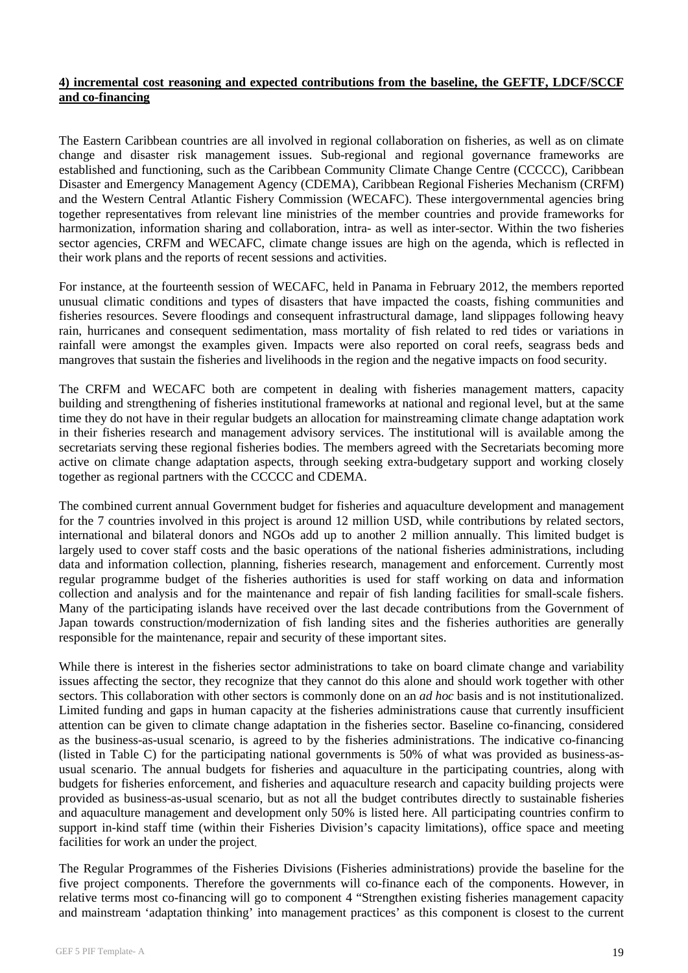## **4) incremental cost reasoning and expected contributions from the baseline, the GEFTF, LDCF/SCCF and co-financing**

The Eastern Caribbean countries are all involved in regional collaboration on fisheries, as well as on climate change and disaster risk management issues. Sub-regional and regional governance frameworks are established and functioning, such as the Caribbean Community Climate Change Centre (CCCCC), Caribbean Disaster and Emergency Management Agency (CDEMA), Caribbean Regional Fisheries Mechanism (CRFM) and the Western Central Atlantic Fishery Commission (WECAFC). These intergovernmental agencies bring together representatives from relevant line ministries of the member countries and provide frameworks for harmonization, information sharing and collaboration, intra- as well as inter-sector. Within the two fisheries sector agencies, CRFM and WECAFC, climate change issues are high on the agenda, which is reflected in their work plans and the reports of recent sessions and activities.

For instance, at the fourteenth session of WECAFC, held in Panama in February 2012, the members reported unusual climatic conditions and types of disasters that have impacted the coasts, fishing communities and fisheries resources. Severe floodings and consequent infrastructural damage, land slippages following heavy rain, hurricanes and consequent sedimentation, mass mortality of fish related to red tides or variations in rainfall were amongst the examples given. Impacts were also reported on coral reefs, seagrass beds and mangroves that sustain the fisheries and livelihoods in the region and the negative impacts on food security.

The CRFM and WECAFC both are competent in dealing with fisheries management matters, capacity building and strengthening of fisheries institutional frameworks at national and regional level, but at the same time they do not have in their regular budgets an allocation for mainstreaming climate change adaptation work in their fisheries research and management advisory services. The institutional will is available among the secretariats serving these regional fisheries bodies. The members agreed with the Secretariats becoming more active on climate change adaptation aspects, through seeking extra-budgetary support and working closely together as regional partners with the CCCCC and CDEMA.

The combined current annual Government budget for fisheries and aquaculture development and management for the 7 countries involved in this project is around 12 million USD, while contributions by related sectors, international and bilateral donors and NGOs add up to another 2 million annually. This limited budget is largely used to cover staff costs and the basic operations of the national fisheries administrations, including data and information collection, planning, fisheries research, management and enforcement. Currently most regular programme budget of the fisheries authorities is used for staff working on data and information collection and analysis and for the maintenance and repair of fish landing facilities for small-scale fishers. Many of the participating islands have received over the last decade contributions from the Government of Japan towards construction/modernization of fish landing sites and the fisheries authorities are generally responsible for the maintenance, repair and security of these important sites.

While there is interest in the fisheries sector administrations to take on board climate change and variability issues affecting the sector, they recognize that they cannot do this alone and should work together with other sectors. This collaboration with other sectors is commonly done on an *ad hoc* basis and is not institutionalized. Limited funding and gaps in human capacity at the fisheries administrations cause that currently insufficient attention can be given to climate change adaptation in the fisheries sector. Baseline co-financing, considered as the business-as-usual scenario, is agreed to by the fisheries administrations. The indicative co-financing (listed in Table C) for the participating national governments is 50% of what was provided as business-asusual scenario. The annual budgets for fisheries and aquaculture in the participating countries, along with budgets for fisheries enforcement, and fisheries and aquaculture research and capacity building projects were provided as business-as-usual scenario, but as not all the budget contributes directly to sustainable fisheries and aquaculture management and development only 50% is listed here. All participating countries confirm to support in-kind staff time (within their Fisheries Division's capacity limitations), office space and meeting facilities for work an under the project.

The Regular Programmes of the Fisheries Divisions (Fisheries administrations) provide the baseline for the five project components. Therefore the governments will co-finance each of the components. However, in relative terms most co-financing will go to component 4 "Strengthen existing fisheries management capacity and mainstream 'adaptation thinking' into management practices' as this component is closest to the current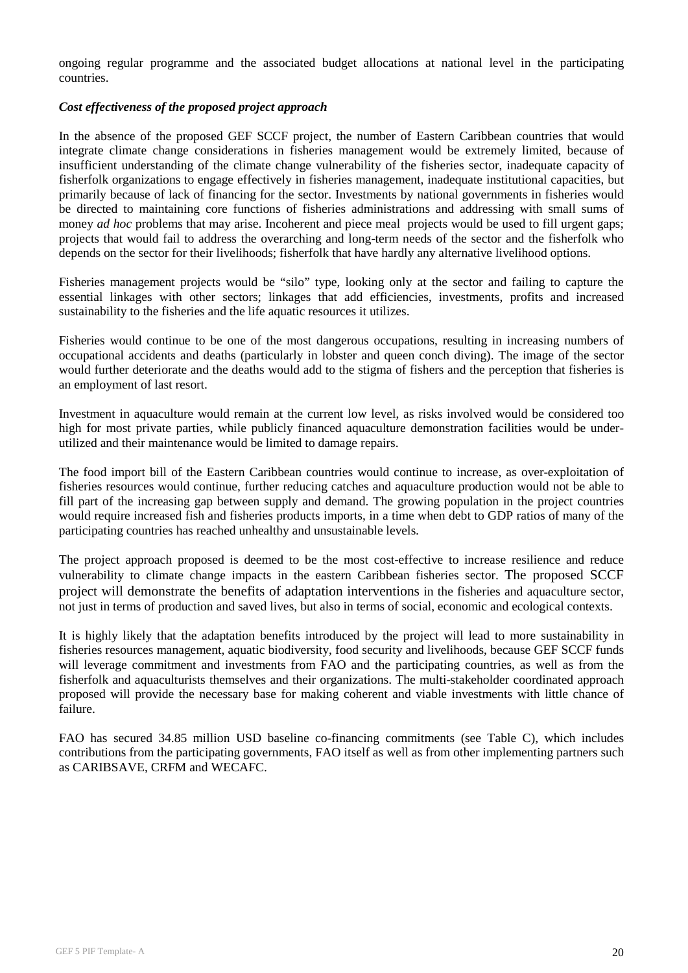ongoing regular programme and the associated budget allocations at national level in the participating countries.

## *Cost effectiveness of the proposed project approach*

In the absence of the proposed GEF SCCF project, the number of Eastern Caribbean countries that would integrate climate change considerations in fisheries management would be extremely limited, because of insufficient understanding of the climate change vulnerability of the fisheries sector, inadequate capacity of fisherfolk organizations to engage effectively in fisheries management, inadequate institutional capacities, but primarily because of lack of financing for the sector. Investments by national governments in fisheries would be directed to maintaining core functions of fisheries administrations and addressing with small sums of money *ad hoc* problems that may arise. Incoherent and piece meal projects would be used to fill urgent gaps; projects that would fail to address the overarching and long-term needs of the sector and the fisherfolk who depends on the sector for their livelihoods; fisherfolk that have hardly any alternative livelihood options.

Fisheries management projects would be "silo" type, looking only at the sector and failing to capture the essential linkages with other sectors; linkages that add efficiencies, investments, profits and increased sustainability to the fisheries and the life aquatic resources it utilizes.

Fisheries would continue to be one of the most dangerous occupations, resulting in increasing numbers of occupational accidents and deaths (particularly in lobster and queen conch diving). The image of the sector would further deteriorate and the deaths would add to the stigma of fishers and the perception that fisheries is an employment of last resort.

Investment in aquaculture would remain at the current low level, as risks involved would be considered too high for most private parties, while publicly financed aquaculture demonstration facilities would be underutilized and their maintenance would be limited to damage repairs.

The food import bill of the Eastern Caribbean countries would continue to increase, as over-exploitation of fisheries resources would continue, further reducing catches and aquaculture production would not be able to fill part of the increasing gap between supply and demand. The growing population in the project countries would require increased fish and fisheries products imports, in a time when debt to GDP ratios of many of the participating countries has reached unhealthy and unsustainable levels.

The project approach proposed is deemed to be the most cost-effective to increase resilience and reduce vulnerability to climate change impacts in the eastern Caribbean fisheries sector. The proposed SCCF project will demonstrate the benefits of adaptation interventions in the fisheries and aquaculture sector, not just in terms of production and saved lives, but also in terms of social, economic and ecological contexts.

It is highly likely that the adaptation benefits introduced by the project will lead to more sustainability in fisheries resources management, aquatic biodiversity, food security and livelihoods, because GEF SCCF funds will leverage commitment and investments from FAO and the participating countries, as well as from the fisherfolk and aquaculturists themselves and their organizations. The multi-stakeholder coordinated approach proposed will provide the necessary base for making coherent and viable investments with little chance of failure.

FAO has secured 34.85 million USD baseline co-financing commitments (see Table C), which includes contributions from the participating governments, FAO itself as well as from other implementing partners such as CARIBSAVE, CRFM and WECAFC.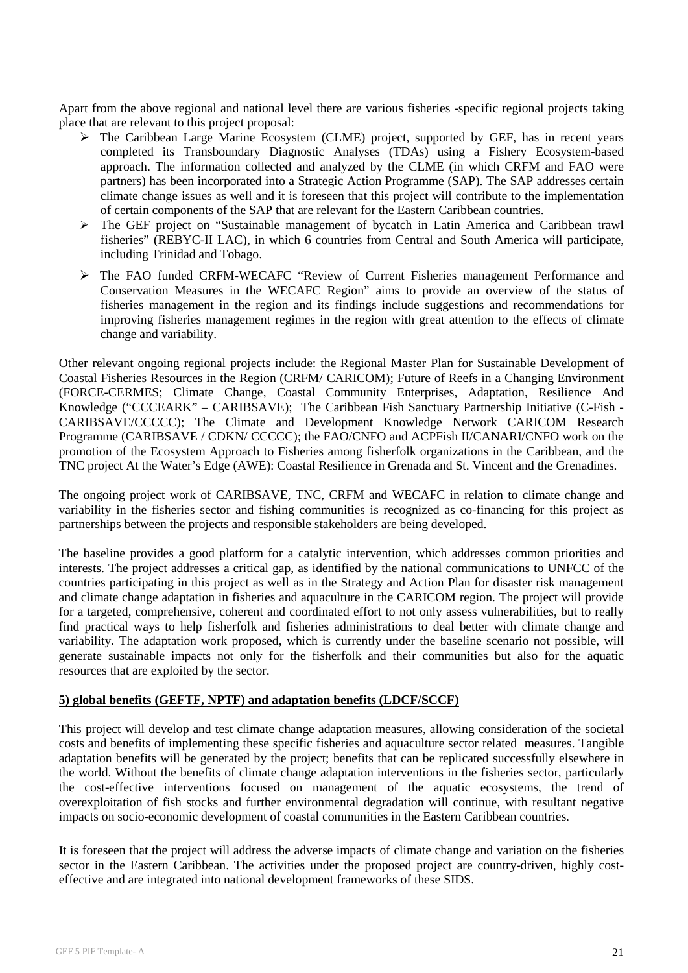Apart from the above regional and national level there are various fisheries -specific regional projects taking place that are relevant to this project proposal:

- $\triangleright$  The Caribbean Large Marine Ecosystem (CLME) project, supported by GEF, has in recent years completed its Transboundary Diagnostic Analyses (TDAs) using a Fishery Ecosystem-based approach. The information collected and analyzed by the CLME (in which CRFM and FAO were partners) has been incorporated into a Strategic Action Programme (SAP). The SAP addresses certain climate change issues as well and it is foreseen that this project will contribute to the implementation of certain components of the SAP that are relevant for the Eastern Caribbean countries.
- The GEF project on "Sustainable management of bycatch in Latin America and Caribbean trawl fisheries" (REBYC-II LAC), in which 6 countries from Central and South America will participate, including Trinidad and Tobago.
- The FAO funded CRFM-WECAFC "Review of Current Fisheries management Performance and Conservation Measures in the WECAFC Region" aims to provide an overview of the status of fisheries management in the region and its findings include suggestions and recommendations for improving fisheries management regimes in the region with great attention to the effects of climate change and variability.

Other relevant ongoing regional projects include: the Regional Master Plan for Sustainable Development of Coastal Fisheries Resources in the Region (CRFM/ CARICOM); Future of Reefs in a Changing Environment (FORCE-CERMES; Climate Change, Coastal Community Enterprises, Adaptation, Resilience And Knowledge ("CCCEARK" – CARIBSAVE); The Caribbean Fish Sanctuary Partnership Initiative (C-Fish - CARIBSAVE/CCCCC); The Climate and Development Knowledge Network CARICOM Research Programme (CARIBSAVE / CDKN/ CCCCC); the FAO/CNFO and ACPFish II/CANARI/CNFO work on the promotion of the Ecosystem Approach to Fisheries among fisherfolk organizations in the Caribbean, and the TNC project At the Water's Edge (AWE): Coastal Resilience in Grenada and St. Vincent and the Grenadines.

The ongoing project work of CARIBSAVE, TNC, CRFM and WECAFC in relation to climate change and variability in the fisheries sector and fishing communities is recognized as co-financing for this project as partnerships between the projects and responsible stakeholders are being developed.

The baseline provides a good platform for a catalytic intervention, which addresses common priorities and interests. The project addresses a critical gap, as identified by the national communications to UNFCC of the countries participating in this project as well as in the Strategy and Action Plan for disaster risk management and climate change adaptation in fisheries and aquaculture in the CARICOM region. The project will provide for a targeted, comprehensive, coherent and coordinated effort to not only assess vulnerabilities, but to really find practical ways to help fisherfolk and fisheries administrations to deal better with climate change and variability. The adaptation work proposed, which is currently under the baseline scenario not possible, will generate sustainable impacts not only for the fisherfolk and their communities but also for the aquatic resources that are exploited by the sector.

## **5) global benefits (GEFTF, NPTF) and adaptation benefits (LDCF/SCCF)**

This project will develop and test climate change adaptation measures, allowing consideration of the societal costs and benefits of implementing these specific fisheries and aquaculture sector related measures. Tangible adaptation benefits will be generated by the project; benefits that can be replicated successfully elsewhere in the world. Without the benefits of climate change adaptation interventions in the fisheries sector, particularly the cost-effective interventions focused on management of the aquatic ecosystems, the trend of overexploitation of fish stocks and further environmental degradation will continue, with resultant negative impacts on socio-economic development of coastal communities in the Eastern Caribbean countries.

It is foreseen that the project will address the adverse impacts of climate change and variation on the fisheries sector in the Eastern Caribbean. The activities under the proposed project are country-driven, highly costeffective and are integrated into national development frameworks of these SIDS.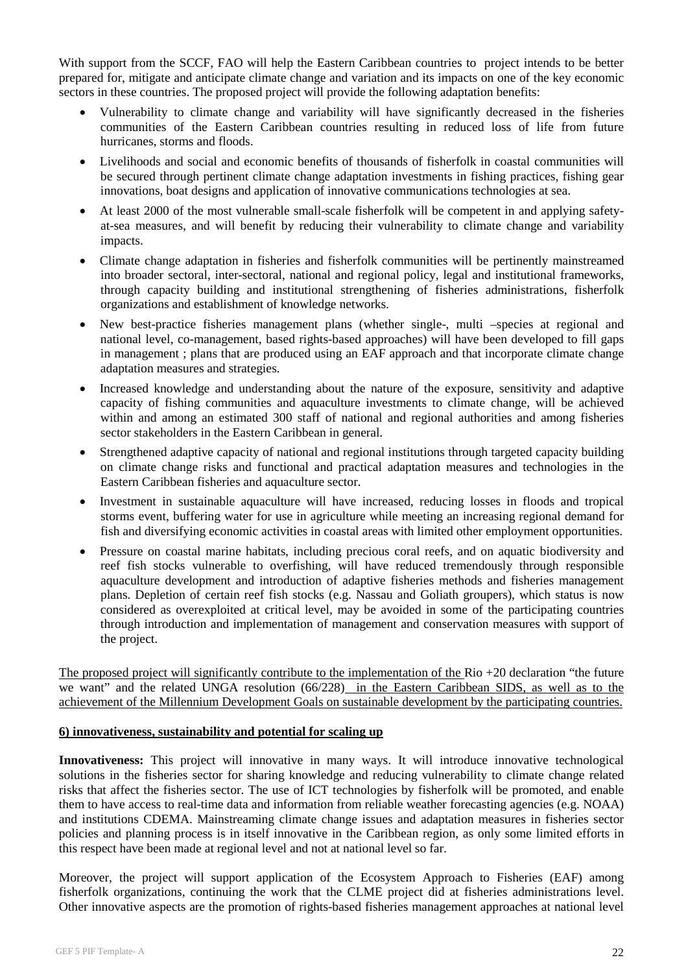With support from the SCCF, FAO will help the Eastern Caribbean countries to project intends to be better prepared for, mitigate and anticipate climate change and variation and its impacts on one of the key economic sectors in these countries. The proposed project will provide the following adaptation benefits:

- Vulnerability to climate change and variability will have significantly decreased in the fisheries communities of the Eastern Caribbean countries resulting in reduced loss of life from future hurricanes, storms and floods.
- Livelihoods and social and economic benefits of thousands of fisherfolk in coastal communities will be secured through pertinent climate change adaptation investments in fishing practices, fishing gear innovations, boat designs and application of innovative communications technologies at sea.
- At least 2000 of the most vulnerable small-scale fisherfolk will be competent in and applying safetyat-sea measures, and will benefit by reducing their vulnerability to climate change and variability impacts.
- Climate change adaptation in fisheries and fisherfolk communities will be pertinently mainstreamed into broader sectoral, inter-sectoral, national and regional policy, legal and institutional frameworks, through capacity building and institutional strengthening of fisheries administrations, fisherfolk organizations and establishment of knowledge networks.
- New best-practice fisheries management plans (whether single-, multi –species at regional and national level, co-management, based rights-based approaches) will have been developed to fill gaps in management ; plans that are produced using an EAF approach and that incorporate climate change adaptation measures and strategies.
- Increased knowledge and understanding about the nature of the exposure, sensitivity and adaptive capacity of fishing communities and aquaculture investments to climate change, will be achieved within and among an estimated 300 staff of national and regional authorities and among fisheries sector stakeholders in the Eastern Caribbean in general.
- Strengthened adaptive capacity of national and regional institutions through targeted capacity building on climate change risks and functional and practical adaptation measures and technologies in the Eastern Caribbean fisheries and aquaculture sector.
- Investment in sustainable aquaculture will have increased, reducing losses in floods and tropical storms event, buffering water for use in agriculture while meeting an increasing regional demand for fish and diversifying economic activities in coastal areas with limited other employment opportunities.
- Pressure on coastal marine habitats, including precious coral reefs, and on aquatic biodiversity and reef fish stocks vulnerable to overfishing, will have reduced tremendously through responsible aquaculture development and introduction of adaptive fisheries methods and fisheries management plans. Depletion of certain reef fish stocks (e.g. Nassau and Goliath groupers), which status is now considered as overexploited at critical level, may be avoided in some of the participating countries through introduction and implementation of management and conservation measures with support of the project.

The proposed project will significantly contribute to the implementation of the Rio +20 declaration "the future we want" and the related UNGA resolution (66/228) in the Eastern Caribbean SIDS, as well as to the achievement of the Millennium Development Goals on sustainable development by the participating countries.

## **6) innovativeness, sustainability and potential for scaling up**

**Innovativeness:** This project will innovative in many ways. It will introduce innovative technological solutions in the fisheries sector for sharing knowledge and reducing vulnerability to climate change related risks that affect the fisheries sector. The use of ICT technologies by fisherfolk will be promoted, and enable them to have access to real-time data and information from reliable weather forecasting agencies (e.g. NOAA) and institutions CDEMA. Mainstreaming climate change issues and adaptation measures in fisheries sector policies and planning process is in itself innovative in the Caribbean region, as only some limited efforts in this respect have been made at regional level and not at national level so far.

Moreover, the project will support application of the Ecosystem Approach to Fisheries (EAF) among fisherfolk organizations, continuing the work that the CLME project did at fisheries administrations level. Other innovative aspects are the promotion of rights-based fisheries management approaches at national level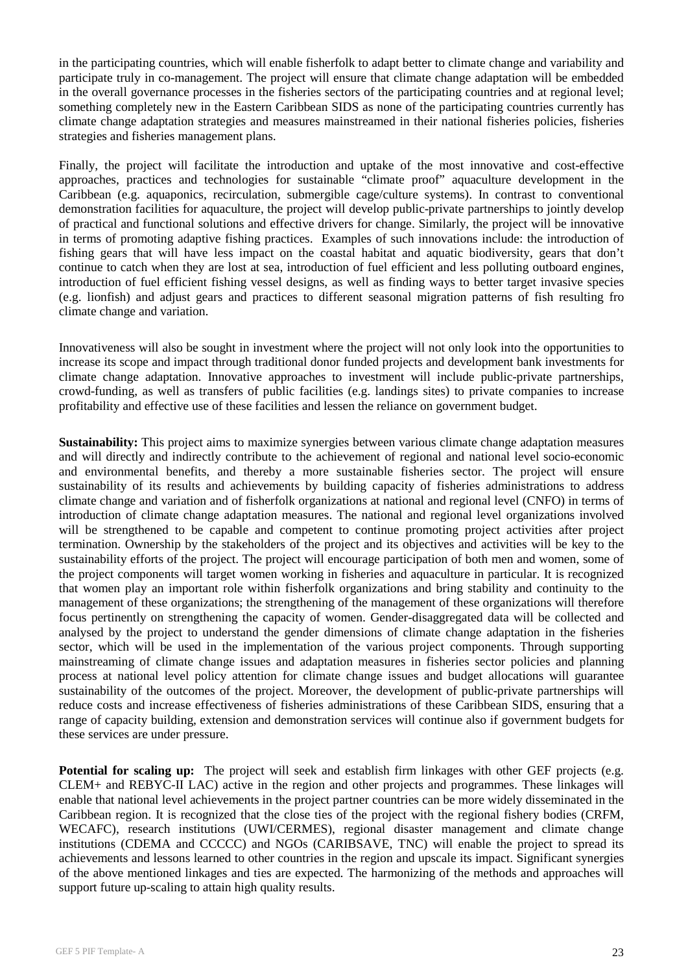in the participating countries, which will enable fisherfolk to adapt better to climate change and variability and participate truly in co-management. The project will ensure that climate change adaptation will be embedded in the overall governance processes in the fisheries sectors of the participating countries and at regional level; something completely new in the Eastern Caribbean SIDS as none of the participating countries currently has climate change adaptation strategies and measures mainstreamed in their national fisheries policies, fisheries strategies and fisheries management plans.

Finally, the project will facilitate the introduction and uptake of the most innovative and cost-effective approaches, practices and technologies for sustainable "climate proof" aquaculture development in the Caribbean (e.g. aquaponics, recirculation, submergible cage/culture systems). In contrast to conventional demonstration facilities for aquaculture, the project will develop public-private partnerships to jointly develop of practical and functional solutions and effective drivers for change. Similarly, the project will be innovative in terms of promoting adaptive fishing practices. Examples of such innovations include: the introduction of fishing gears that will have less impact on the coastal habitat and aquatic biodiversity, gears that don't continue to catch when they are lost at sea, introduction of fuel efficient and less polluting outboard engines, introduction of fuel efficient fishing vessel designs, as well as finding ways to better target invasive species (e.g. lionfish) and adjust gears and practices to different seasonal migration patterns of fish resulting fro climate change and variation.

Innovativeness will also be sought in investment where the project will not only look into the opportunities to increase its scope and impact through traditional donor funded projects and development bank investments for climate change adaptation. Innovative approaches to investment will include public-private partnerships, crowd-funding, as well as transfers of public facilities (e.g. landings sites) to private companies to increase profitability and effective use of these facilities and lessen the reliance on government budget.

**Sustainability:** This project aims to maximize synergies between various climate change adaptation measures and will directly and indirectly contribute to the achievement of regional and national level socio-economic and environmental benefits, and thereby a more sustainable fisheries sector. The project will ensure sustainability of its results and achievements by building capacity of fisheries administrations to address climate change and variation and of fisherfolk organizations at national and regional level (CNFO) in terms of introduction of climate change adaptation measures. The national and regional level organizations involved will be strengthened to be capable and competent to continue promoting project activities after project termination. Ownership by the stakeholders of the project and its objectives and activities will be key to the sustainability efforts of the project. The project will encourage participation of both men and women, some of the project components will target women working in fisheries and aquaculture in particular. It is recognized that women play an important role within fisherfolk organizations and bring stability and continuity to the management of these organizations; the strengthening of the management of these organizations will therefore focus pertinently on strengthening the capacity of women. Gender-disaggregated data will be collected and analysed by the project to understand the gender dimensions of climate change adaptation in the fisheries sector, which will be used in the implementation of the various project components. Through supporting mainstreaming of climate change issues and adaptation measures in fisheries sector policies and planning process at national level policy attention for climate change issues and budget allocations will guarantee sustainability of the outcomes of the project. Moreover, the development of public-private partnerships will reduce costs and increase effectiveness of fisheries administrations of these Caribbean SIDS, ensuring that a range of capacity building, extension and demonstration services will continue also if government budgets for these services are under pressure.

**Potential for scaling up:** The project will seek and establish firm linkages with other GEF projects (e.g. CLEM+ and REBYC-II LAC) active in the region and other projects and programmes. These linkages will enable that national level achievements in the project partner countries can be more widely disseminated in the Caribbean region. It is recognized that the close ties of the project with the regional fishery bodies (CRFM, WECAFC), research institutions (UWI/CERMES), regional disaster management and climate change institutions (CDEMA and CCCCC) and NGOs (CARIBSAVE, TNC) will enable the project to spread its achievements and lessons learned to other countries in the region and upscale its impact. Significant synergies of the above mentioned linkages and ties are expected. The harmonizing of the methods and approaches will support future up-scaling to attain high quality results.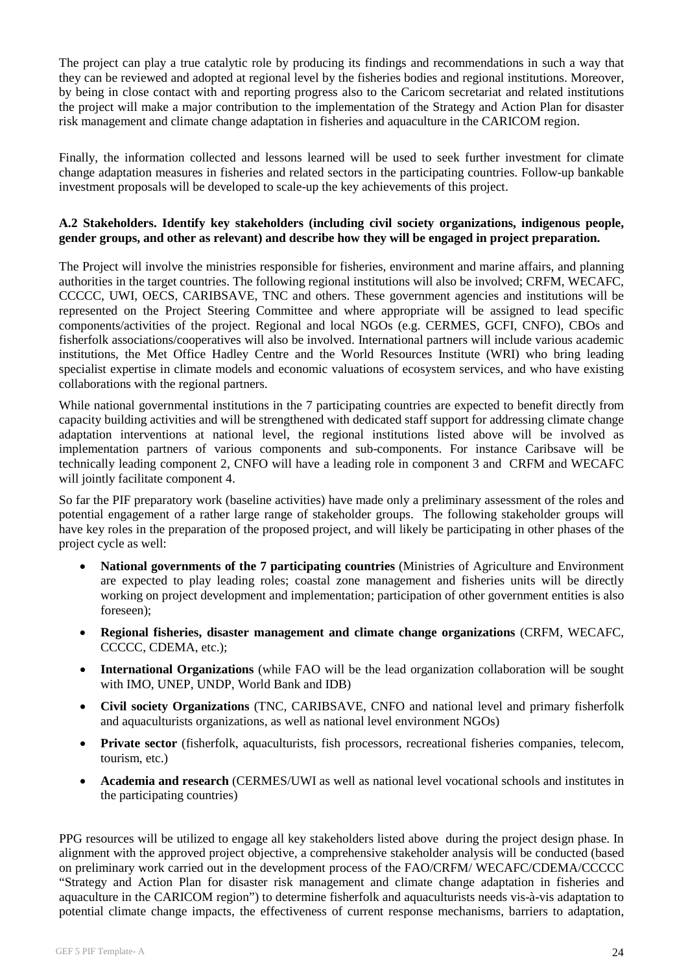The project can play a true catalytic role by producing its findings and recommendations in such a way that they can be reviewed and adopted at regional level by the fisheries bodies and regional institutions. Moreover, by being in close contact with and reporting progress also to the Caricom secretariat and related institutions the project will make a major contribution to the implementation of the Strategy and Action Plan for disaster risk management and climate change adaptation in fisheries and aquaculture in the CARICOM region.

Finally, the information collected and lessons learned will be used to seek further investment for climate change adaptation measures in fisheries and related sectors in the participating countries. Follow-up bankable investment proposals will be developed to scale-up the key achievements of this project.

## **A.2 Stakeholders. Identify key stakeholders (including civil society organizations, indigenous people, gender groups, and other as relevant) and describe how they will be engaged in project preparation.**

The Project will involve the ministries responsible for fisheries, environment and marine affairs, and planning authorities in the target countries. The following regional institutions will also be involved; CRFM, WECAFC, CCCCC, UWI, OECS, CARIBSAVE, TNC and others. These government agencies and institutions will be represented on the Project Steering Committee and where appropriate will be assigned to lead specific components/activities of the project. Regional and local NGOs (e.g. CERMES, GCFI, CNFO), CBOs and fisherfolk associations/cooperatives will also be involved. International partners will include various academic institutions, the Met Office Hadley Centre and the World Resources Institute (WRI) who bring leading specialist expertise in climate models and economic valuations of ecosystem services, and who have existing collaborations with the regional partners.

While national governmental institutions in the 7 participating countries are expected to benefit directly from capacity building activities and will be strengthened with dedicated staff support for addressing climate change adaptation interventions at national level, the regional institutions listed above will be involved as implementation partners of various components and sub-components. For instance Caribsave will be technically leading component 2, CNFO will have a leading role in component 3 and CRFM and WECAFC will jointly facilitate component 4.

So far the PIF preparatory work (baseline activities) have made only a preliminary assessment of the roles and potential engagement of a rather large range of stakeholder groups. The following stakeholder groups will have key roles in the preparation of the proposed project, and will likely be participating in other phases of the project cycle as well:

- **National governments of the 7 participating countries** (Ministries of Agriculture and Environment are expected to play leading roles; coastal zone management and fisheries units will be directly working on project development and implementation; participation of other government entities is also foreseen);
- **Regional fisheries, disaster management and climate change organizations** (CRFM, WECAFC, CCCCC, CDEMA, etc.);
- **International Organizations** (while FAO will be the lead organization collaboration will be sought with IMO, UNEP, UNDP, World Bank and IDB)
- **Civil society Organizations** (TNC, CARIBSAVE, CNFO and national level and primary fisherfolk and aquaculturists organizations, as well as national level environment NGOs)
- **Private sector** (fisherfolk, aquaculturists, fish processors, recreational fisheries companies, telecom, tourism, etc.)
- **Academia and research** (CERMES/UWI as well as national level vocational schools and institutes in the participating countries)

PPG resources will be utilized to engage all key stakeholders listed above during the project design phase. In alignment with the approved project objective, a comprehensive stakeholder analysis will be conducted (based on preliminary work carried out in the development process of the FAO/CRFM/ WECAFC/CDEMA/CCCCC "Strategy and Action Plan for disaster risk management and climate change adaptation in fisheries and aquaculture in the CARICOM region") to determine fisherfolk and aquaculturists needs vis-à-vis adaptation to potential climate change impacts, the effectiveness of current response mechanisms, barriers to adaptation,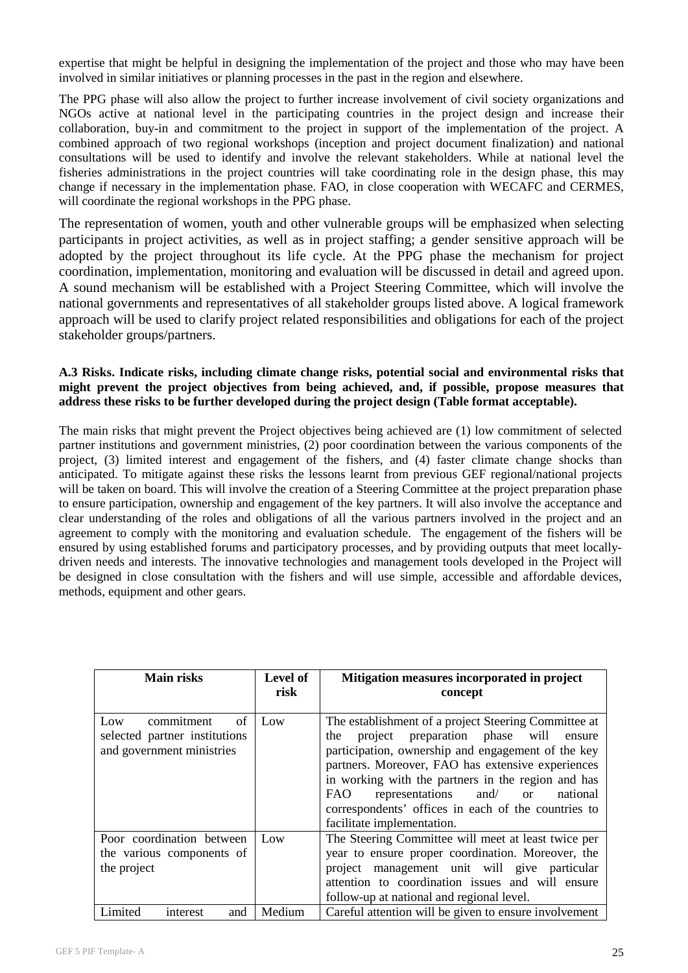expertise that might be helpful in designing the implementation of the project and those who may have been involved in similar initiatives or planning processes in the past in the region and elsewhere.

The PPG phase will also allow the project to further increase involvement of civil society organizations and NGOs active at national level in the participating countries in the project design and increase their collaboration, buy-in and commitment to the project in support of the implementation of the project. A combined approach of two regional workshops (inception and project document finalization) and national consultations will be used to identify and involve the relevant stakeholders. While at national level the fisheries administrations in the project countries will take coordinating role in the design phase, this may change if necessary in the implementation phase. FAO, in close cooperation with WECAFC and CERMES, will coordinate the regional workshops in the PPG phase.

The representation of women, youth and other vulnerable groups will be emphasized when selecting participants in project activities, as well as in project staffing; a gender sensitive approach will be adopted by the project throughout its life cycle. At the PPG phase the mechanism for project coordination, implementation, monitoring and evaluation will be discussed in detail and agreed upon. A sound mechanism will be established with a Project Steering Committee, which will involve the national governments and representatives of all stakeholder groups listed above. A logical framework approach will be used to clarify project related responsibilities and obligations for each of the project stakeholder groups/partners.

## **A.3 Risks. Indicate risks, including climate change risks, potential social and environmental risks that might prevent the project objectives from being achieved, and, if possible, propose measures that address these risks to be further developed during the project design (Table format acceptable).**

The main risks that might prevent the Project objectives being achieved are (1) low commitment of selected partner institutions and government ministries, (2) poor coordination between the various components of the project, (3) limited interest and engagement of the fishers, and (4) faster climate change shocks than anticipated. To mitigate against these risks the lessons learnt from previous GEF regional/national projects will be taken on board. This will involve the creation of a Steering Committee at the project preparation phase to ensure participation, ownership and engagement of the key partners. It will also involve the acceptance and clear understanding of the roles and obligations of all the various partners involved in the project and an agreement to comply with the monitoring and evaluation schedule. The engagement of the fishers will be ensured by using established forums and participatory processes, and by providing outputs that meet locallydriven needs and interests. The innovative technologies and management tools developed in the Project will be designed in close consultation with the fishers and will use simple, accessible and affordable devices, methods, equipment and other gears.

| <b>Main risks</b>                                                                     | Level of<br>risk | Mitigation measures incorporated in project<br>concept                                                                                                                                                                                                                                                                                                                                                                      |
|---------------------------------------------------------------------------------------|------------------|-----------------------------------------------------------------------------------------------------------------------------------------------------------------------------------------------------------------------------------------------------------------------------------------------------------------------------------------------------------------------------------------------------------------------------|
| of<br>commitment<br>Low<br>selected partner institutions<br>and government ministries | Low              | The establishment of a project Steering Committee at<br>project preparation phase will<br>ensure<br>the<br>participation, ownership and engagement of the key<br>partners. Moreover, FAO has extensive experiences<br>in working with the partners in the region and has<br>representations and/<br>FAO -<br>national<br><sub>or</sub><br>correspondents' offices in each of the countries to<br>facilitate implementation. |
| Poor coordination between<br>the various components of<br>the project                 | Low              | The Steering Committee will meet at least twice per<br>year to ensure proper coordination. Moreover, the<br>project management unit will give particular<br>attention to coordination issues and will ensure<br>follow-up at national and regional level.                                                                                                                                                                   |
| Limited<br>and<br>interest                                                            | Medium           | Careful attention will be given to ensure involvement                                                                                                                                                                                                                                                                                                                                                                       |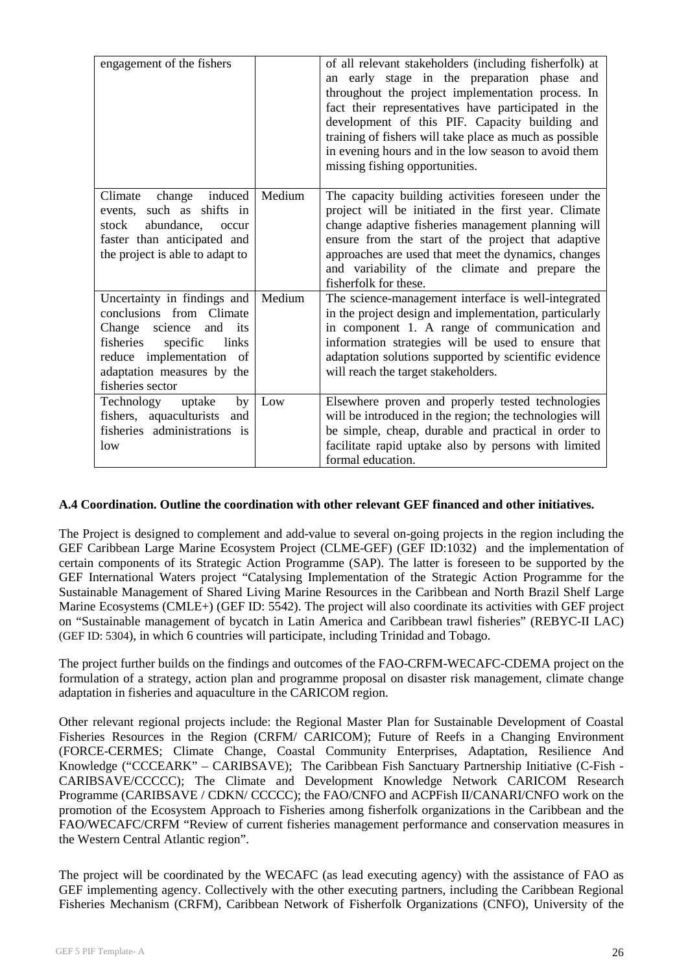| engagement of the fishers                                                                                                                                                                               |        | of all relevant stakeholders (including fisherfolk) at<br>an early stage in the preparation phase and<br>throughout the project implementation process. In<br>fact their representatives have participated in the<br>development of this PIF. Capacity building and<br>training of fishers will take place as much as possible<br>in evening hours and in the low season to avoid them<br>missing fishing opportunities. |
|---------------------------------------------------------------------------------------------------------------------------------------------------------------------------------------------------------|--------|--------------------------------------------------------------------------------------------------------------------------------------------------------------------------------------------------------------------------------------------------------------------------------------------------------------------------------------------------------------------------------------------------------------------------|
| Climate change induced<br>events, such as shifts in<br>abundance, occur<br>stock<br>faster than anticipated and<br>the project is able to adapt to                                                      | Medium | The capacity building activities foreseen under the<br>project will be initiated in the first year. Climate<br>change adaptive fisheries management planning will<br>ensure from the start of the project that adaptive<br>approaches are used that meet the dynamics, changes<br>and variability of the climate and prepare the<br>fisherfolk for these.                                                                |
| Uncertainty in findings and<br>conclusions from Climate<br>Change science<br>and<br>its<br>fisheries<br>specific<br>links<br>reduce implementation of<br>adaptation measures by the<br>fisheries sector | Medium | The science-management interface is well-integrated<br>in the project design and implementation, particularly<br>in component 1. A range of communication and<br>information strategies will be used to ensure that<br>adaptation solutions supported by scientific evidence<br>will reach the target stakeholders.                                                                                                      |
| Technology<br>uptake<br>by<br>fishers, aquaculturists<br>and<br>fisheries administrations is<br>low                                                                                                     | Low    | Elsewhere proven and properly tested technologies<br>will be introduced in the region; the technologies will<br>be simple, cheap, durable and practical in order to<br>facilitate rapid uptake also by persons with limited<br>formal education.                                                                                                                                                                         |

## **A.4 Coordination. Outline the coordination with other relevant GEF financed and other initiatives.**

The Project is designed to complement and add-value to several on-going projects in the region including the GEF Caribbean Large Marine Ecosystem Project (CLME-GEF) (GEF ID:1032) and the implementation of certain components of its Strategic Action Programme (SAP). The latter is foreseen to be supported by the GEF International Waters project "Catalysing Implementation of the Strategic Action Programme for the Sustainable Management of Shared Living Marine Resources in the Caribbean and North Brazil Shelf Large Marine Ecosystems (CMLE+) (GEF ID: 5542). The project will also coordinate its activities with GEF project on "Sustainable management of bycatch in Latin America and Caribbean trawl fisheries" (REBYC-II LAC) (GEF ID: 5304), in which 6 countries will participate, including Trinidad and Tobago.

The project further builds on the findings and outcomes of the FAO-CRFM-WECAFC-CDEMA project on the formulation of a strategy, action plan and programme proposal on disaster risk management, climate change adaptation in fisheries and aquaculture in the CARICOM region.

Other relevant regional projects include: the Regional Master Plan for Sustainable Development of Coastal Fisheries Resources in the Region (CRFM/ CARICOM); Future of Reefs in a Changing Environment (FORCE-CERMES; Climate Change, Coastal Community Enterprises, Adaptation, Resilience And Knowledge ("CCCEARK" – CARIBSAVE); The Caribbean Fish Sanctuary Partnership Initiative (C-Fish - CARIBSAVE/CCCCC); The Climate and Development Knowledge Network CARICOM Research Programme (CARIBSAVE / CDKN/ CCCCC); the FAO/CNFO and ACPFish II/CANARI/CNFO work on the promotion of the Ecosystem Approach to Fisheries among fisherfolk organizations in the Caribbean and the FAO/WECAFC/CRFM "Review of current fisheries management performance and conservation measures in the Western Central Atlantic region".

The project will be coordinated by the WECAFC (as lead executing agency) with the assistance of FAO as GEF implementing agency. Collectively with the other executing partners, including the Caribbean Regional Fisheries Mechanism (CRFM), Caribbean Network of Fisherfolk Organizations (CNFO), University of the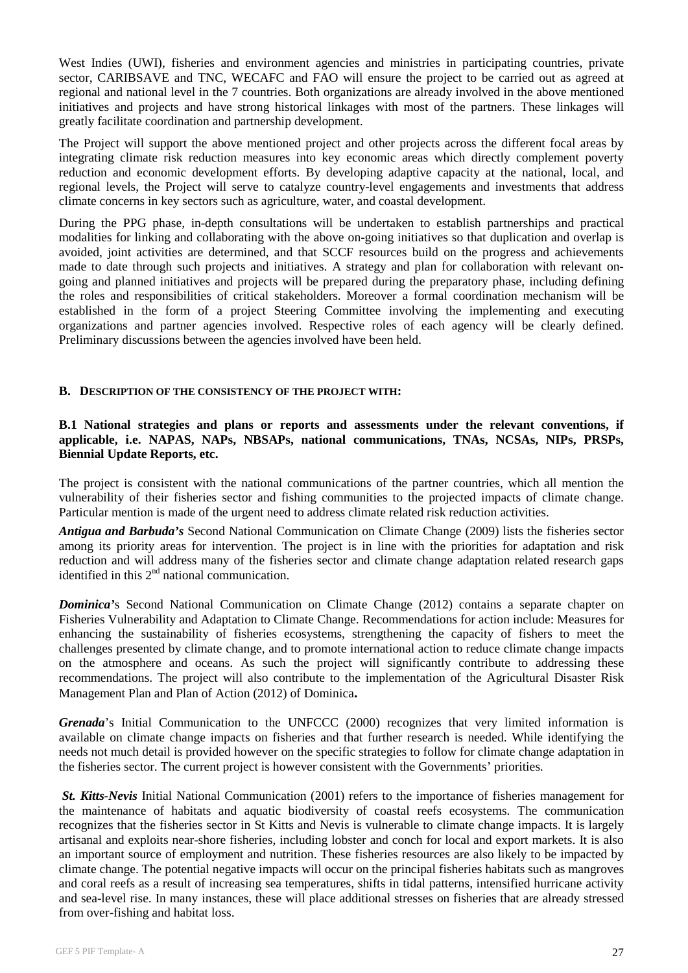West Indies (UWI), fisheries and environment agencies and ministries in participating countries, private sector, CARIBSAVE and TNC, WECAFC and FAO will ensure the project to be carried out as agreed at regional and national level in the 7 countries. Both organizations are already involved in the above mentioned initiatives and projects and have strong historical linkages with most of the partners. These linkages will greatly facilitate coordination and partnership development.

The Project will support the above mentioned project and other projects across the different focal areas by integrating climate risk reduction measures into key economic areas which directly complement poverty reduction and economic development efforts. By developing adaptive capacity at the national, local, and regional levels, the Project will serve to catalyze country-level engagements and investments that address climate concerns in key sectors such as agriculture, water, and coastal development.

During the PPG phase, in-depth consultations will be undertaken to establish partnerships and practical modalities for linking and collaborating with the above on-going initiatives so that duplication and overlap is avoided, joint activities are determined, and that SCCF resources build on the progress and achievements made to date through such projects and initiatives. A strategy and plan for collaboration with relevant ongoing and planned initiatives and projects will be prepared during the preparatory phase, including defining the roles and responsibilities of critical stakeholders. Moreover a formal coordination mechanism will be established in the form of a project Steering Committee involving the implementing and executing organizations and partner agencies involved. Respective roles of each agency will be clearly defined. Preliminary discussions between the agencies involved have been held.

#### **B. DESCRIPTION OF THE CONSISTENCY OF THE PROJECT WITH:**

# **B.1 National strategies and plans or reports and assessments under the relevant conventions, if applicable, i.e. NAPAS, NAPs, NBSAPs, national communications, TNAs, NCSAs, NIPs, PRSPs, Biennial Update Reports, etc.**

The project is consistent with the national communications of the partner countries, which all mention the vulnerability of their fisheries sector and fishing communities to the projected impacts of climate change. Particular mention is made of the urgent need to address climate related risk reduction activities.

*Antigua and Barbuda's* Second National Communication on Climate Change (2009) lists the fisheries sector among its priority areas for intervention. The project is in line with the priorities for adaptation and risk reduction and will address many of the fisheries sector and climate change adaptation related research gaps identified in this  $2<sup>nd</sup>$  national communication.

*Dominica*'s Second National Communication on Climate Change (2012) contains a separate chapter on Fisheries Vulnerability and Adaptation to Climate Change. Recommendations for action include: Measures for enhancing the sustainability of fisheries ecosystems, strengthening the capacity of fishers to meet the challenges presented by climate change, and to promote international action to reduce climate change impacts on the atmosphere and oceans. As such the project will significantly contribute to addressing these recommendations. The project will also contribute to the implementation of the Agricultural Disaster Risk Management Plan and Plan of Action (2012) of Dominica**.**

*Grenada*'s Initial Communication to the UNFCCC (2000) recognizes that very limited information is available on climate change impacts on fisheries and that further research is needed. While identifying the needs not much detail is provided however on the specific strategies to follow for climate change adaptation in the fisheries sector. The current project is however consistent with the Governments' priorities.

*St. Kitts-Nevis* Initial National Communication (2001) refers to the importance of fisheries management for the maintenance of habitats and aquatic biodiversity of coastal reefs ecosystems. The communication recognizes that the fisheries sector in St Kitts and Nevis is vulnerable to climate change impacts. It is largely artisanal and exploits near-shore fisheries, including lobster and conch for local and export markets. It is also an important source of employment and nutrition. These fisheries resources are also likely to be impacted by climate change. The potential negative impacts will occur on the principal fisheries habitats such as mangroves and coral reefs as a result of increasing sea temperatures, shifts in tidal patterns, intensified hurricane activity and sea-level rise. In many instances, these will place additional stresses on fisheries that are already stressed from over-fishing and habitat loss.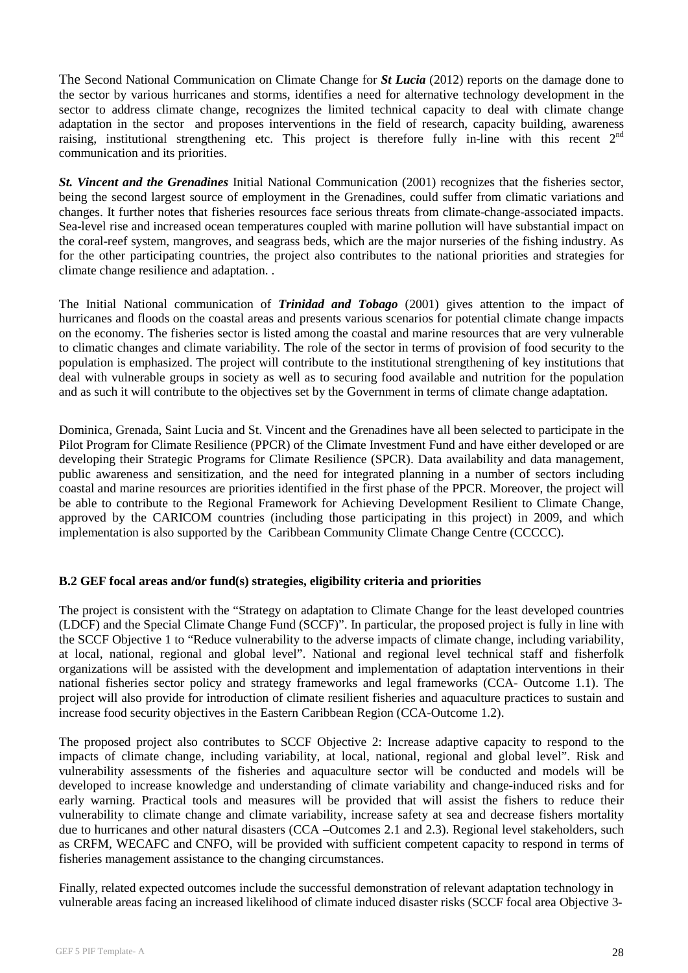The Second National Communication on Climate Change for *St Lucia* (2012) reports on the damage done to the sector by various hurricanes and storms, identifies a need for alternative technology development in the sector to address climate change, recognizes the limited technical capacity to deal with climate change adaptation in the sector and proposes interventions in the field of research, capacity building, awareness raising, institutional strengthening etc. This project is therefore fully in-line with this recent 2<sup>nd</sup> communication and its priorities.

*St. Vincent and the Grenadines* Initial National Communication (2001) recognizes that the fisheries sector, being the second largest source of employment in the Grenadines, could suffer from climatic variations and changes. It further notes that fisheries resources face serious threats from climate-change-associated impacts. Sea-level rise and increased ocean temperatures coupled with marine pollution will have substantial impact on the coral-reef system, mangroves, and seagrass beds, which are the major nurseries of the fishing industry. As for the other participating countries, the project also contributes to the national priorities and strategies for climate change resilience and adaptation. .

The Initial National communication of *Trinidad and Tobago* (2001) gives attention to the impact of hurricanes and floods on the coastal areas and presents various scenarios for potential climate change impacts on the economy. The fisheries sector is listed among the coastal and marine resources that are very vulnerable to climatic changes and climate variability. The role of the sector in terms of provision of food security to the population is emphasized. The project will contribute to the institutional strengthening of key institutions that deal with vulnerable groups in society as well as to securing food available and nutrition for the population and as such it will contribute to the objectives set by the Government in terms of climate change adaptation.

Dominica, Grenada, Saint Lucia and St. Vincent and the Grenadines have all been selected to participate in the Pilot Program for Climate Resilience (PPCR) of the Climate Investment Fund and have either developed or are developing their Strategic Programs for Climate Resilience (SPCR). Data availability and data management, public awareness and sensitization, and the need for integrated planning in a number of sectors including coastal and marine resources are priorities identified in the first phase of the PPCR. Moreover, the project will be able to contribute to the Regional Framework for Achieving Development Resilient to Climate Change, approved by the CARICOM countries (including those participating in this project) in 2009, and which implementation is also supported by the Caribbean Community Climate Change Centre (CCCCC).

## **B.2 GEF focal areas and/or fund(s) strategies, eligibility criteria and priorities**

The project is consistent with the "Strategy on adaptation to Climate Change for the least developed countries (LDCF) and the Special Climate Change Fund (SCCF)". In particular, the proposed project is fully in line with the SCCF Objective 1 to "Reduce vulnerability to the adverse impacts of climate change, including variability, at local, national, regional and global level". National and regional level technical staff and fisherfolk organizations will be assisted with the development and implementation of adaptation interventions in their national fisheries sector policy and strategy frameworks and legal frameworks (CCA- Outcome 1.1). The project will also provide for introduction of climate resilient fisheries and aquaculture practices to sustain and increase food security objectives in the Eastern Caribbean Region (CCA-Outcome 1.2).

The proposed project also contributes to SCCF Objective 2: Increase adaptive capacity to respond to the impacts of climate change, including variability, at local, national, regional and global level". Risk and vulnerability assessments of the fisheries and aquaculture sector will be conducted and models will be developed to increase knowledge and understanding of climate variability and change-induced risks and for early warning. Practical tools and measures will be provided that will assist the fishers to reduce their vulnerability to climate change and climate variability, increase safety at sea and decrease fishers mortality due to hurricanes and other natural disasters (CCA –Outcomes 2.1 and 2.3). Regional level stakeholders, such as CRFM, WECAFC and CNFO, will be provided with sufficient competent capacity to respond in terms of fisheries management assistance to the changing circumstances.

Finally, related expected outcomes include the successful demonstration of relevant adaptation technology in vulnerable areas facing an increased likelihood of climate induced disaster risks (SCCF focal area Objective 3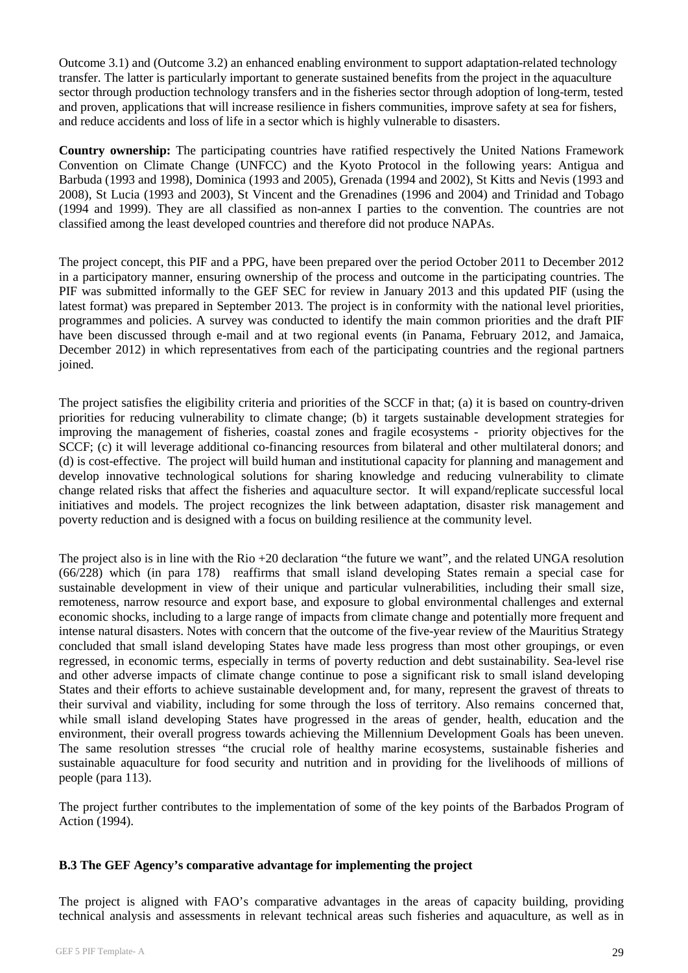Outcome 3.1) and (Outcome 3.2) an enhanced enabling environment to support adaptation-related technology transfer. The latter is particularly important to generate sustained benefits from the project in the aquaculture sector through production technology transfers and in the fisheries sector through adoption of long-term, tested and proven, applications that will increase resilience in fishers communities, improve safety at sea for fishers, and reduce accidents and loss of life in a sector which is highly vulnerable to disasters.

**Country ownership:** The participating countries have ratified respectively the United Nations Framework Convention on Climate Change (UNFCC) and the Kyoto Protocol in the following years: Antigua and Barbuda (1993 and 1998), Dominica (1993 and 2005), Grenada (1994 and 2002), St Kitts and Nevis (1993 and 2008), St Lucia (1993 and 2003), St Vincent and the Grenadines (1996 and 2004) and Trinidad and Tobago (1994 and 1999). They are all classified as non-annex I parties to the convention. The countries are not classified among the least developed countries and therefore did not produce NAPAs.

The project concept, this PIF and a PPG, have been prepared over the period October 2011 to December 2012 in a participatory manner, ensuring ownership of the process and outcome in the participating countries. The PIF was submitted informally to the GEF SEC for review in January 2013 and this updated PIF (using the latest format) was prepared in September 2013. The project is in conformity with the national level priorities, programmes and policies. A survey was conducted to identify the main common priorities and the draft PIF have been discussed through e-mail and at two regional events (in Panama, February 2012, and Jamaica, December 2012) in which representatives from each of the participating countries and the regional partners joined.

The project satisfies the eligibility criteria and priorities of the SCCF in that; (a) it is based on country-driven priorities for reducing vulnerability to climate change; (b) it targets sustainable development strategies for improving the management of fisheries, coastal zones and fragile ecosystems - priority objectives for the SCCF; (c) it will leverage additional co-financing resources from bilateral and other multilateral donors; and (d) is cost-effective. The project will build human and institutional capacity for planning and management and develop innovative technological solutions for sharing knowledge and reducing vulnerability to climate change related risks that affect the fisheries and aquaculture sector. It will expand/replicate successful local initiatives and models. The project recognizes the link between adaptation, disaster risk management and poverty reduction and is designed with a focus on building resilience at the community level.

The project also is in line with the Rio +20 declaration "the future we want", and the related UNGA resolution (66/228) which (in para 178) reaffirms that small island developing States remain a special case for sustainable development in view of their unique and particular vulnerabilities, including their small size, remoteness, narrow resource and export base, and exposure to global environmental challenges and external economic shocks, including to a large range of impacts from climate change and potentially more frequent and intense natural disasters. Notes with concern that the outcome of the five-year review of the Mauritius Strategy concluded that small island developing States have made less progress than most other groupings, or even regressed, in economic terms, especially in terms of poverty reduction and debt sustainability. Sea-level rise and other adverse impacts of climate change continue to pose a significant risk to small island developing States and their efforts to achieve sustainable development and, for many, represent the gravest of threats to their survival and viability, including for some through the loss of territory. Also remains concerned that, while small island developing States have progressed in the areas of gender, health, education and the environment, their overall progress towards achieving the Millennium Development Goals has been uneven. The same resolution stresses "the crucial role of healthy marine ecosystems, sustainable fisheries and sustainable aquaculture for food security and nutrition and in providing for the livelihoods of millions of people (para 113).

The project further contributes to the implementation of some of the key points of the Barbados Program of Action (1994).

# **B.3 The GEF Agency's comparative advantage for implementing the project**

The project is aligned with FAO's comparative advantages in the areas of capacity building, providing technical analysis and assessments in relevant technical areas such fisheries and aquaculture, as well as in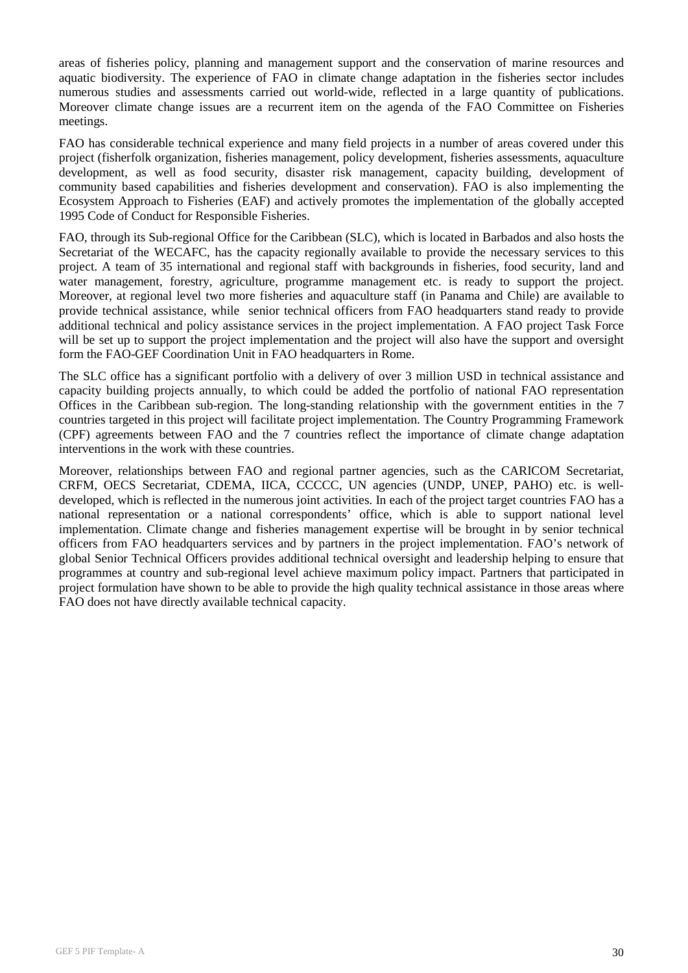areas of fisheries policy, planning and management support and the conservation of marine resources and aquatic biodiversity. The experience of FAO in climate change adaptation in the fisheries sector includes numerous studies and assessments carried out world-wide, reflected in a large quantity of publications. Moreover climate change issues are a recurrent item on the agenda of the FAO Committee on Fisheries meetings.

FAO has considerable technical experience and many field projects in a number of areas covered under this project (fisherfolk organization, fisheries management, policy development, fisheries assessments, aquaculture development, as well as food security, disaster risk management, capacity building, development of community based capabilities and fisheries development and conservation). FAO is also implementing the Ecosystem Approach to Fisheries (EAF) and actively promotes the implementation of the globally accepted 1995 Code of Conduct for Responsible Fisheries.

FAO, through its Sub-regional Office for the Caribbean (SLC), which is located in Barbados and also hosts the Secretariat of the WECAFC, has the capacity regionally available to provide the necessary services to this project. A team of 35 international and regional staff with backgrounds in fisheries, food security, land and water management, forestry, agriculture, programme management etc. is ready to support the project. Moreover, at regional level two more fisheries and aquaculture staff (in Panama and Chile) are available to provide technical assistance, while senior technical officers from FAO headquarters stand ready to provide additional technical and policy assistance services in the project implementation. A FAO project Task Force will be set up to support the project implementation and the project will also have the support and oversight form the FAO-GEF Coordination Unit in FAO headquarters in Rome.

The SLC office has a significant portfolio with a delivery of over 3 million USD in technical assistance and capacity building projects annually, to which could be added the portfolio of national FAO representation Offices in the Caribbean sub-region. The long-standing relationship with the government entities in the 7 countries targeted in this project will facilitate project implementation. The Country Programming Framework (CPF) agreements between FAO and the 7 countries reflect the importance of climate change adaptation interventions in the work with these countries.

Moreover, relationships between FAO and regional partner agencies, such as the CARICOM Secretariat, CRFM, OECS Secretariat, CDEMA, IICA, CCCCC, UN agencies (UNDP, UNEP, PAHO) etc. is welldeveloped, which is reflected in the numerous joint activities. In each of the project target countries FAO has a national representation or a national correspondents' office, which is able to support national level implementation. Climate change and fisheries management expertise will be brought in by senior technical officers from FAO headquarters services and by partners in the project implementation. FAO's network of global Senior Technical Officers provides additional technical oversight and leadership helping to ensure that programmes at country and sub-regional level achieve maximum policy impact. Partners that participated in project formulation have shown to be able to provide the high quality technical assistance in those areas where FAO does not have directly available technical capacity.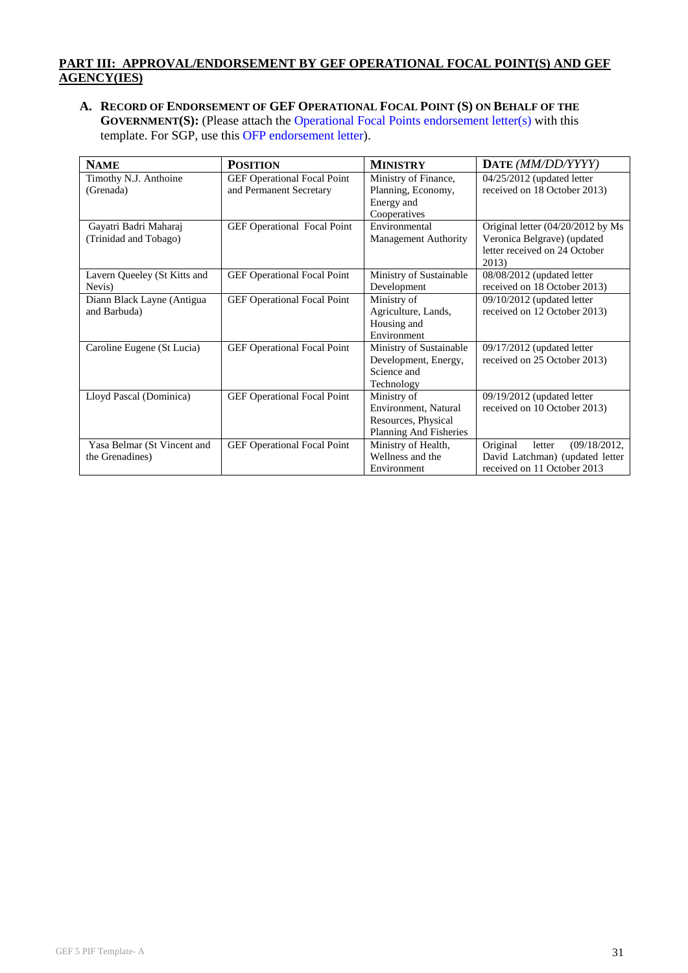# **PART III: APPROVAL/ENDORSEMENT BY GEF OPERATIONAL FOCAL POINT(S) AND GEF AGENCY(IES)**

**A. RECORD OF ENDORSEMENT OF GEF OPERATIONAL FOCAL POINT (S) ON BEHALF OF THE GOVERNMENT(S):** (Please attach the Operational Focal Points endorsement letter(s) with this template. For SGP, use this OFP endorsement letter).

| <b>NAME</b>                  | <b>POSITION</b>             | <b>MINISTRY</b>         | DATE (MM/DD/YYYY)                  |
|------------------------------|-----------------------------|-------------------------|------------------------------------|
| Timothy N.J. Anthoine        | GEF Operational Focal Point | Ministry of Finance,    | 04/25/2012 (updated letter         |
| (Grenada)                    | and Permanent Secretary     | Planning, Economy,      | received on 18 October 2013)       |
|                              |                             | Energy and              |                                    |
|                              |                             | Cooperatives            |                                    |
| Gayatri Badri Maharaj        | GEF Operational Focal Point | Environmental           | Original letter (04/20/2012 by Ms) |
| (Trinidad and Tobago)        |                             | Management Authority    | Veronica Belgrave) (updated        |
|                              |                             |                         | letter received on 24 October      |
|                              |                             |                         | 2013)                              |
| Lavern Queeley (St Kitts and | GEF Operational Focal Point | Ministry of Sustainable | 08/08/2012 (updated letter         |
| Nevis)                       |                             | Development             | received on 18 October 2013)       |
| Diann Black Layne (Antigua   | GEF Operational Focal Point | Ministry of             | 09/10/2012 (updated letter         |
| and Barbuda)                 |                             | Agriculture, Lands,     | received on 12 October 2013)       |
|                              |                             | Housing and             |                                    |
|                              |                             | Environment             |                                    |
| Caroline Eugene (St Lucia)   | GEF Operational Focal Point | Ministry of Sustainable | 09/17/2012 (updated letter         |
|                              |                             | Development, Energy,    | received on 25 October 2013)       |
|                              |                             | Science and             |                                    |
|                              |                             | Technology              |                                    |
| Lloyd Pascal (Dominica)      | GEF Operational Focal Point | Ministry of             | 09/19/2012 (updated letter         |
|                              |                             | Environment, Natural    | received on 10 October 2013)       |
|                              |                             | Resources, Physical     |                                    |
|                              |                             | Planning And Fisheries  |                                    |
| Yasa Belmar (St Vincent and  | GEF Operational Focal Point | Ministry of Health,     | Original<br>(09/18/2012,<br>letter |
| the Grenadines)              |                             | Wellness and the        | David Latchman) (updated letter    |
|                              |                             | Environment             | received on 11 October 2013        |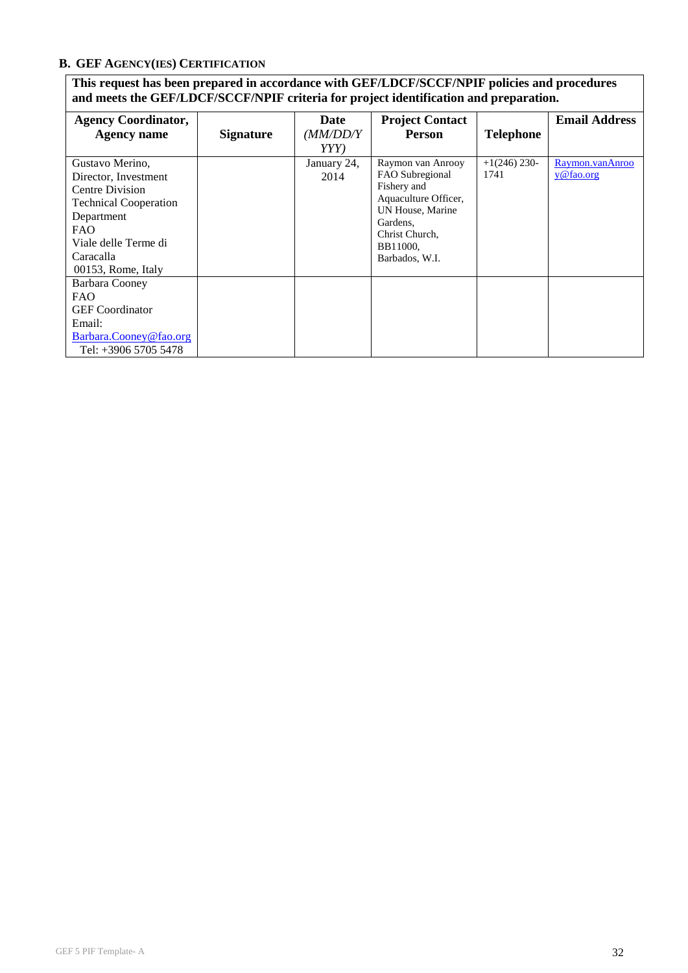# **B. GEF AGENCY(IES) CERTIFICATION**

| This request has been prepared in accordance with GEF/LDCF/SCCF/NPIF policies and procedures |
|----------------------------------------------------------------------------------------------|
| and meets the GEF/LDCF/SCCF/NPIF criteria for project identification and preparation.        |

| <b>Agency Coordinator,</b>   |                  | Date        | <b>Project Contact</b>         |                  | <b>Email Address</b> |
|------------------------------|------------------|-------------|--------------------------------|------------------|----------------------|
| <b>Agency name</b>           | <b>Signature</b> | (MM/DD/Y)   | <b>Person</b>                  | <b>Telephone</b> |                      |
|                              |                  | YYY         |                                |                  |                      |
| Gustavo Merino,              |                  | January 24, | Raymon van Anrooy              | $+1(246)$ 230-   | Raymon.vanAnroo      |
| Director, Investment         |                  | 2014        | FAO Subregional<br>Fishery and | 1741             | $y@$ fao.org         |
| Centre Division              |                  |             | Aquaculture Officer,           |                  |                      |
| <b>Technical Cooperation</b> |                  |             | UN House, Marine               |                  |                      |
| Department                   |                  |             | Gardens,                       |                  |                      |
| <b>FAO</b>                   |                  |             | Christ Church,                 |                  |                      |
| Viale delle Terme di         |                  |             | BB11000,                       |                  |                      |
| Caracalla                    |                  |             | Barbados, W.I.                 |                  |                      |
| 00153, Rome, Italy           |                  |             |                                |                  |                      |
| Barbara Cooney               |                  |             |                                |                  |                      |
| FAO.                         |                  |             |                                |                  |                      |
| <b>GEF</b> Coordinator       |                  |             |                                |                  |                      |
| Email:                       |                  |             |                                |                  |                      |
| Barbara.Cooney@fao.org       |                  |             |                                |                  |                      |
| Tel: $+3906$ 5705 5478       |                  |             |                                |                  |                      |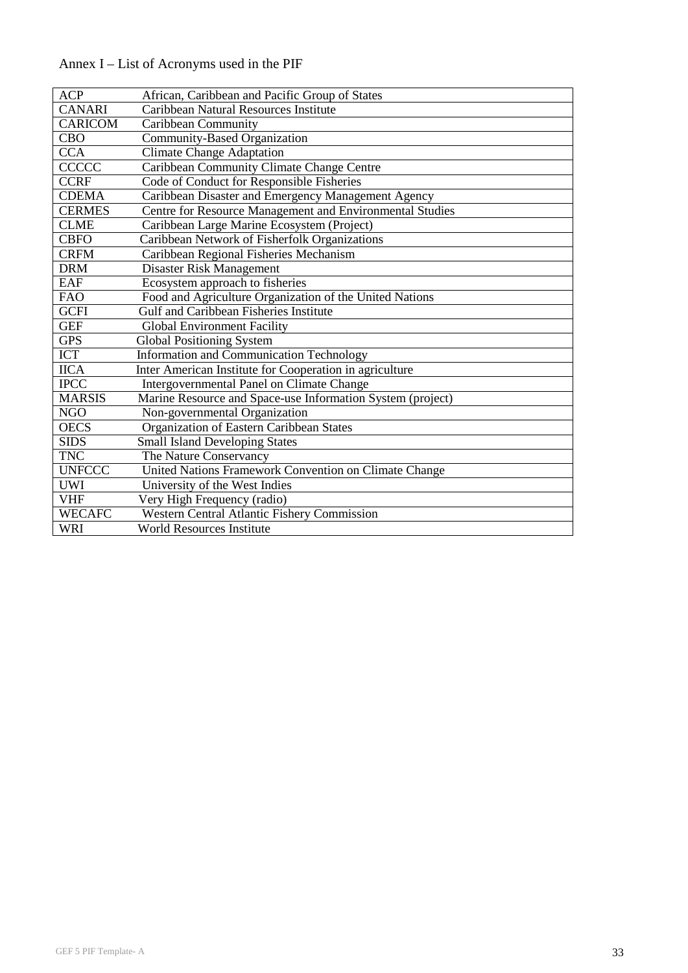| Annex I – List of Acronyms used in the PIF |
|--------------------------------------------|
|--------------------------------------------|

| <b>ACP</b>     | African, Caribbean and Pacific Group of States             |
|----------------|------------------------------------------------------------|
| <b>CANARI</b>  | <b>Caribbean Natural Resources Institute</b>               |
| <b>CARICOM</b> | Caribbean Community                                        |
| <b>CBO</b>     | Community-Based Organization                               |
| <b>CCA</b>     | Climate Change Adaptation                                  |
| <b>CCCCC</b>   | Caribbean Community Climate Change Centre                  |
| <b>CCRF</b>    | Code of Conduct for Responsible Fisheries                  |
| <b>CDEMA</b>   | Caribbean Disaster and Emergency Management Agency         |
| <b>CERMES</b>  | Centre for Resource Management and Environmental Studies   |
| <b>CLME</b>    | Caribbean Large Marine Ecosystem (Project)                 |
| <b>CBFO</b>    | Caribbean Network of Fisherfolk Organizations              |
| <b>CRFM</b>    | Caribbean Regional Fisheries Mechanism                     |
| <b>DRM</b>     | Disaster Risk Management                                   |
| <b>EAF</b>     | Ecosystem approach to fisheries                            |
| <b>FAO</b>     | Food and Agriculture Organization of the United Nations    |
| <b>GCFI</b>    | Gulf and Caribbean Fisheries Institute                     |
| <b>GEF</b>     | <b>Global Environment Facility</b>                         |
| <b>GPS</b>     | <b>Global Positioning System</b>                           |
| <b>ICT</b>     | <b>Information and Communication Technology</b>            |
| <b>IICA</b>    | Inter American Institute for Cooperation in agriculture    |
| <b>IPCC</b>    | Intergovernmental Panel on Climate Change                  |
| <b>MARSIS</b>  | Marine Resource and Space-use Information System (project) |
| <b>NGO</b>     | Non-governmental Organization                              |
| <b>OECS</b>    | Organization of Eastern Caribbean States                   |
| <b>SIDS</b>    | <b>Small Island Developing States</b>                      |
| <b>TNC</b>     | The Nature Conservancy                                     |
| <b>UNFCCC</b>  | United Nations Framework Convention on Climate Change      |
| <b>UWI</b>     | University of the West Indies                              |
| <b>VHF</b>     | Very High Frequency (radio)                                |
| <b>WECAFC</b>  | <b>Western Central Atlantic Fishery Commission</b>         |
| <b>WRI</b>     | <b>World Resources Institute</b>                           |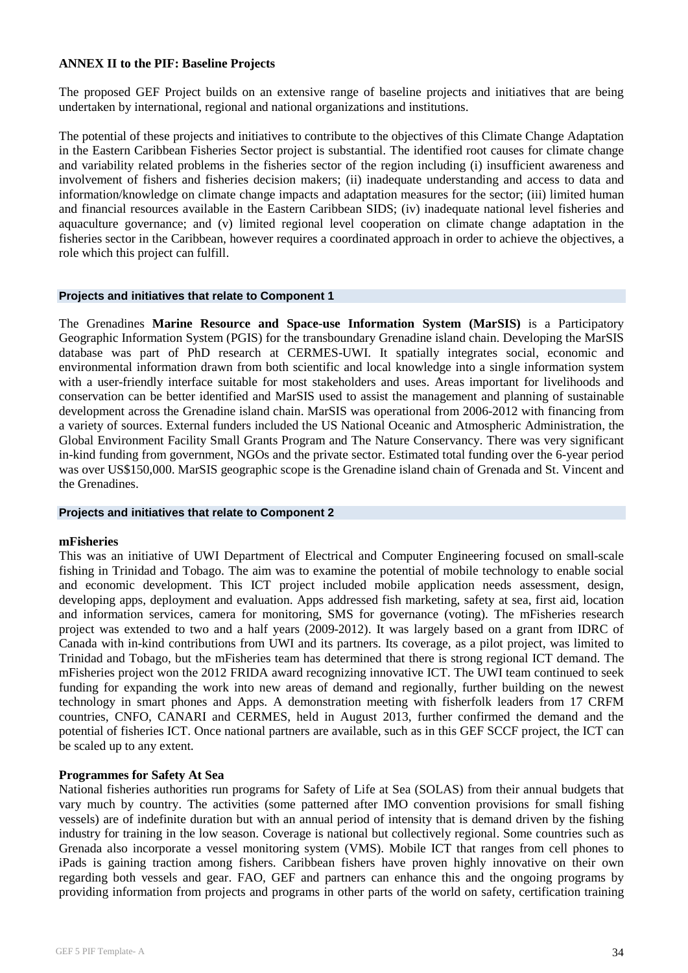#### **ANNEX II to the PIF: Baseline Projects**

The proposed GEF Project builds on an extensive range of baseline projects and initiatives that are being undertaken by international, regional and national organizations and institutions.

The potential of these projects and initiatives to contribute to the objectives of this Climate Change Adaptation in the Eastern Caribbean Fisheries Sector project is substantial. The identified root causes for climate change and variability related problems in the fisheries sector of the region including (i) insufficient awareness and involvement of fishers and fisheries decision makers; (ii) inadequate understanding and access to data and information/knowledge on climate change impacts and adaptation measures for the sector; (iii) limited human and financial resources available in the Eastern Caribbean SIDS; (iv) inadequate national level fisheries and aquaculture governance; and (v) limited regional level cooperation on climate change adaptation in the fisheries sector in the Caribbean, however requires a coordinated approach in order to achieve the objectives, a role which this project can fulfill.

#### **Projects and initiatives that relate to Component 1**

The Grenadines **Marine Resource and Space-use Information System (MarSIS)** is a Participatory Geographic Information System (PGIS) for the transboundary Grenadine island chain. Developing the MarSIS database was part of PhD research at CERMES-UWI. It spatially integrates social, economic and environmental information drawn from both scientific and local knowledge into a single information system with a user-friendly interface suitable for most stakeholders and uses. Areas important for livelihoods and conservation can be better identified and MarSIS used to assist the management and planning of sustainable development across the Grenadine island chain. MarSIS was operational from 2006-2012 with financing from a variety of sources. External funders included the US National Oceanic and Atmospheric Administration, the Global Environment Facility Small Grants Program and The Nature Conservancy. There was very significant in-kind funding from government, NGOs and the private sector. Estimated total funding over the 6-year period was over US\$150,000. MarSIS geographic scope is the Grenadine island chain of Grenada and St. Vincent and the Grenadines.

#### **Projects and initiatives that relate to Component 2**

#### **mFisheries**

This was an initiative of UWI Department of Electrical and Computer Engineering focused on small-scale fishing in Trinidad and Tobago. The aim was to examine the potential of mobile technology to enable social and economic development. This ICT project included mobile application needs assessment, design, developing apps, deployment and evaluation. Apps addressed fish marketing, safety at sea, first aid, location and information services, camera for monitoring, SMS for governance (voting). The mFisheries research project was extended to two and a half years (2009-2012). It was largely based on a grant from IDRC of Canada with in-kind contributions from UWI and its partners. Its coverage, as a pilot project, was limited to Trinidad and Tobago, but the mFisheries team has determined that there is strong regional ICT demand. The mFisheries project won the 2012 FRIDA award recognizing innovative ICT. The UWI team continued to seek funding for expanding the work into new areas of demand and regionally, further building on the newest technology in smart phones and Apps. A demonstration meeting with fisherfolk leaders from 17 CRFM countries, CNFO, CANARI and CERMES, held in August 2013, further confirmed the demand and the potential of fisheries ICT. Once national partners are available, such as in this GEF SCCF project, the ICT can be scaled up to any extent.

#### **Programmes for Safety At Sea**

National fisheries authorities run programs for Safety of Life at Sea (SOLAS) from their annual budgets that vary much by country. The activities (some patterned after IMO convention provisions for small fishing vessels) are of indefinite duration but with an annual period of intensity that is demand driven by the fishing industry for training in the low season. Coverage is national but collectively regional. Some countries such as Grenada also incorporate a vessel monitoring system (VMS). Mobile ICT that ranges from cell phones to iPads is gaining traction among fishers. Caribbean fishers have proven highly innovative on their own regarding both vessels and gear. FAO, GEF and partners can enhance this and the ongoing programs by providing information from projects and programs in other parts of the world on safety, certification training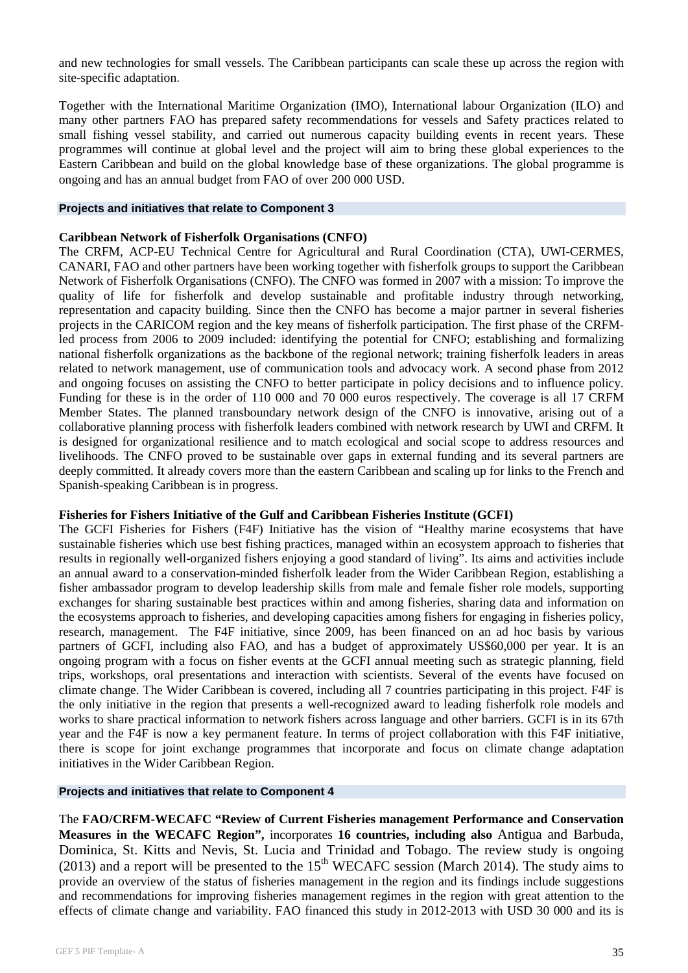and new technologies for small vessels. The Caribbean participants can scale these up across the region with site-specific adaptation.

Together with the International Maritime Organization (IMO), International labour Organization (ILO) and many other partners FAO has prepared safety recommendations for vessels and Safety practices related to small fishing vessel stability, and carried out numerous capacity building events in recent years. These programmes will continue at global level and the project will aim to bring these global experiences to the Eastern Caribbean and build on the global knowledge base of these organizations. The global programme is ongoing and has an annual budget from FAO of over 200 000 USD.

#### **Projects and initiatives that relate to Component 3**

#### **Caribbean Network of Fisherfolk Organisations (CNFO)**

The CRFM, ACP-EU Technical Centre for Agricultural and Rural Coordination (CTA), UWI-CERMES, CANARI, FAO and other partners have been working together with fisherfolk groups to support the Caribbean Network of Fisherfolk Organisations (CNFO). The CNFO was formed in 2007 with a mission: To improve the quality of life for fisherfolk and develop sustainable and profitable industry through networking, representation and capacity building. Since then the CNFO has become a major partner in several fisheries projects in the CARICOM region and the key means of fisherfolk participation. The first phase of the CRFMled process from 2006 to 2009 included: identifying the potential for CNFO; establishing and formalizing national fisherfolk organizations as the backbone of the regional network; training fisherfolk leaders in areas related to network management, use of communication tools and advocacy work. A second phase from 2012 and ongoing focuses on assisting the CNFO to better participate in policy decisions and to influence policy. Funding for these is in the order of 110 000 and 70 000 euros respectively. The coverage is all 17 CRFM Member States. The planned transboundary network design of the CNFO is innovative, arising out of a collaborative planning process with fisherfolk leaders combined with network research by UWI and CRFM. It is designed for organizational resilience and to match ecological and social scope to address resources and livelihoods. The CNFO proved to be sustainable over gaps in external funding and its several partners are deeply committed. It already covers more than the eastern Caribbean and scaling up for links to the French and Spanish-speaking Caribbean is in progress.

#### **Fisheries for Fishers Initiative of the Gulf and Caribbean Fisheries Institute (GCFI)**

The GCFI Fisheries for Fishers (F4F) Initiative has the vision of "Healthy marine ecosystems that have sustainable fisheries which use best fishing practices, managed within an ecosystem approach to fisheries that results in regionally well-organized fishers enjoying a good standard of living". Its aims and activities include an annual award to a conservation-minded fisherfolk leader from the Wider Caribbean Region, establishing a fisher ambassador program to develop leadership skills from male and female fisher role models, supporting exchanges for sharing sustainable best practices within and among fisheries, sharing data and information on the ecosystems approach to fisheries, and developing capacities among fishers for engaging in fisheries policy, research, management. The F4F initiative, since 2009, has been financed on an ad hoc basis by various partners of GCFI, including also FAO, and has a budget of approximately US\$60,000 per year. It is an ongoing program with a focus on fisher events at the GCFI annual meeting such as strategic planning, field trips, workshops, oral presentations and interaction with scientists. Several of the events have focused on climate change. The Wider Caribbean is covered, including all 7 countries participating in this project. F4F is the only initiative in the region that presents a well-recognized award to leading fisherfolk role models and works to share practical information to network fishers across language and other barriers. GCFI is in its 67th year and the F4F is now a key permanent feature. In terms of project collaboration with this F4F initiative, there is scope for joint exchange programmes that incorporate and focus on climate change adaptation initiatives in the Wider Caribbean Region.

#### **Projects and initiatives that relate to Component 4**

The **FAO/CRFM-WECAFC "Review of Current Fisheries management Performance and Conservation Measures in the WECAFC Region",** incorporates **16 countries, including also** Antigua and Barbuda, Dominica, St. Kitts and Nevis, St. Lucia and Trinidad and Tobago. The review study is ongoing (2013) and a report will be presented to the  $15<sup>th</sup>$  WECAFC session (March 2014). The study aims to provide an overview of the status of fisheries management in the region and its findings include suggestions and recommendations for improving fisheries management regimes in the region with great attention to the effects of climate change and variability. FAO financed this study in 2012-2013 with USD 30 000 and its is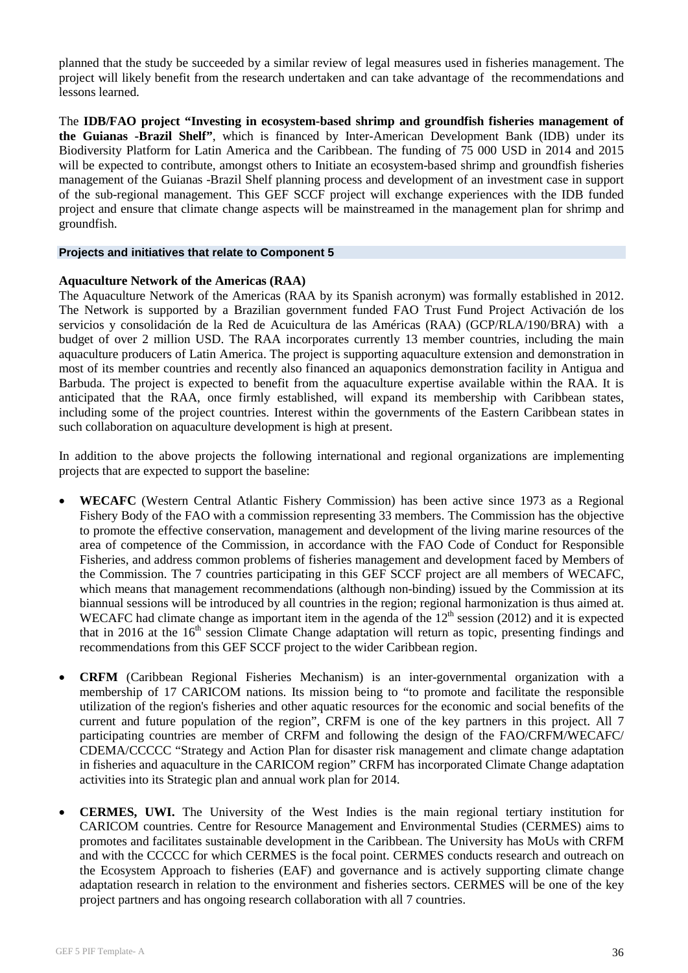planned that the study be succeeded by a similar review of legal measures used in fisheries management. The project will likely benefit from the research undertaken and can take advantage of the recommendations and lessons learned.

The **IDB/FAO project "Investing in ecosystem-based shrimp and groundfish fisheries management of the Guianas -Brazil Shelf"**, which is financed by Inter-American Development Bank (IDB) under its Biodiversity Platform for Latin America and the Caribbean. The funding of 75 000 USD in 2014 and 2015 will be expected to contribute, amongst others to Initiate an ecosystem-based shrimp and groundfish fisheries management of the Guianas -Brazil Shelf planning process and development of an investment case in support of the sub-regional management. This GEF SCCF project will exchange experiences with the IDB funded project and ensure that climate change aspects will be mainstreamed in the management plan for shrimp and groundfish.

#### **Projects and initiatives that relate to Component 5**

#### **Aquaculture Network of the Americas (RAA)**

The Aquaculture Network of the Americas (RAA by its Spanish acronym) was formally established in 2012. The Network is supported by a Brazilian government funded FAO Trust Fund Project Activación de los servicios y consolidación de la Red de Acuicultura de las Américas (RAA) (GCP/RLA/190/BRA) with a budget of over 2 million USD. The RAA incorporates currently 13 member countries, including the main aquaculture producers of Latin America. The project is supporting aquaculture extension and demonstration in most of its member countries and recently also financed an aquaponics demonstration facility in Antigua and Barbuda. The project is expected to benefit from the aquaculture expertise available within the RAA. It is anticipated that the RAA, once firmly established, will expand its membership with Caribbean states, including some of the project countries. Interest within the governments of the Eastern Caribbean states in such collaboration on aquaculture development is high at present.

In addition to the above projects the following international and regional organizations are implementing projects that are expected to support the baseline:

- **WECAFC** (Western Central Atlantic Fishery Commission) has been active since 1973 as a Regional Fishery Body of the FAO with a commission representing 33 members. The Commission has the objective to promote the effective conservation, management and development of the living marine resources of the area of competence of the Commission, in accordance with the FAO Code of Conduct for Responsible Fisheries, and address common problems of fisheries management and development faced by Members of the Commission. The 7 countries participating in this GEF SCCF project are all members of WECAFC, which means that management recommendations (although non-binding) issued by the Commission at its biannual sessions will be introduced by all countries in the region; regional harmonization is thus aimed at. WECAFC had climate change as important item in the agenda of the  $12<sup>th</sup>$  session (2012) and it is expected that in 2016 at the  $16<sup>th</sup>$  session Climate Change adaptation will return as topic, presenting findings and recommendations from this GEF SCCF project to the wider Caribbean region.
- **CRFM** (Caribbean Regional Fisheries Mechanism) is an inter-governmental organization with a membership of 17 CARICOM nations. Its mission being to "to promote and facilitate the responsible utilization of the region's fisheries and other aquatic resources for the economic and social benefits of the current and future population of the region", CRFM is one of the key partners in this project. All 7 participating countries are member of CRFM and following the design of the FAO/CRFM/WECAFC/ CDEMA/CCCCC "Strategy and Action Plan for disaster risk management and climate change adaptation in fisheries and aquaculture in the CARICOM region" CRFM has incorporated Climate Change adaptation activities into its Strategic plan and annual work plan for 2014.
- **CERMES, UWI.** The University of the West Indies is the main regional tertiary institution for CARICOM countries. Centre for Resource Management and Environmental Studies (CERMES) aims to promotes and facilitates sustainable development in the Caribbean. The University has MoUs with CRFM and with the CCCCC for which CERMES is the focal point. CERMES conducts research and outreach on the Ecosystem Approach to fisheries (EAF) and governance and is actively supporting climate change adaptation research in relation to the environment and fisheries sectors. CERMES will be one of the key project partners and has ongoing research collaboration with all 7 countries.